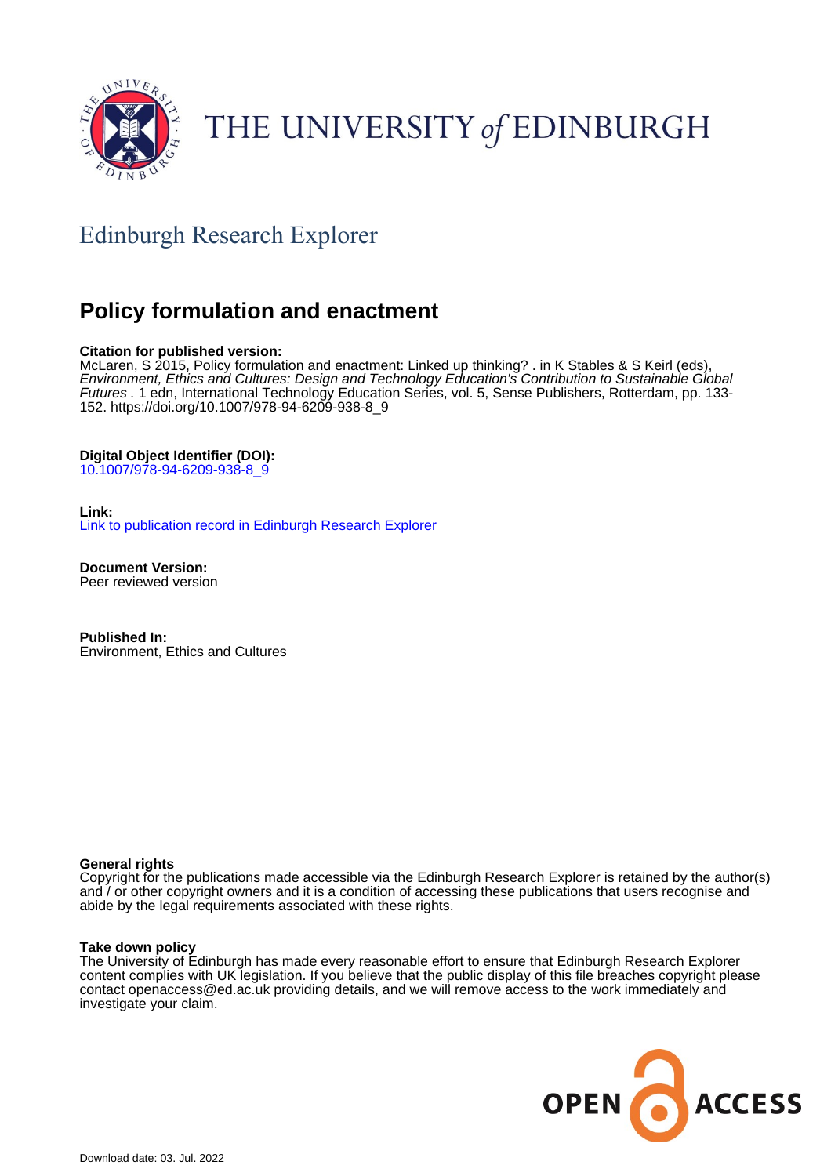

# THE UNIVERSITY of EDINBURGH

# Edinburgh Research Explorer

# **Policy formulation and enactment**

# **Citation for published version:**

McLaren, S 2015, Policy formulation and enactment: Linked up thinking? . in K Stables & S Keirl (eds), Environment, Ethics and Cultures: Design and Technology Education's Contribution to Sustainable Global Futures . 1 edn, International Technology Education Series, vol. 5, Sense Publishers, Rotterdam, pp. 133-152. [https://doi.org/10.1007/978-94-6209-938-8\\_9](https://doi.org/10.1007/978-94-6209-938-8_9)

# **Digital Object Identifier (DOI):**

[10.1007/978-94-6209-938-8\\_9](https://doi.org/10.1007/978-94-6209-938-8_9)

# **Link:**

[Link to publication record in Edinburgh Research Explorer](https://www.research.ed.ac.uk/en/publications/6eb9a6ef-b0e2-4314-96b6-d0d54a0ad030)

**Document Version:** Peer reviewed version

**Published In:** Environment, Ethics and Cultures

# **General rights**

Copyright for the publications made accessible via the Edinburgh Research Explorer is retained by the author(s) and / or other copyright owners and it is a condition of accessing these publications that users recognise and abide by the legal requirements associated with these rights.

### **Take down policy**

The University of Edinburgh has made every reasonable effort to ensure that Edinburgh Research Explorer content complies with UK legislation. If you believe that the public display of this file breaches copyright please contact openaccess@ed.ac.uk providing details, and we will remove access to the work immediately and investigate your claim.

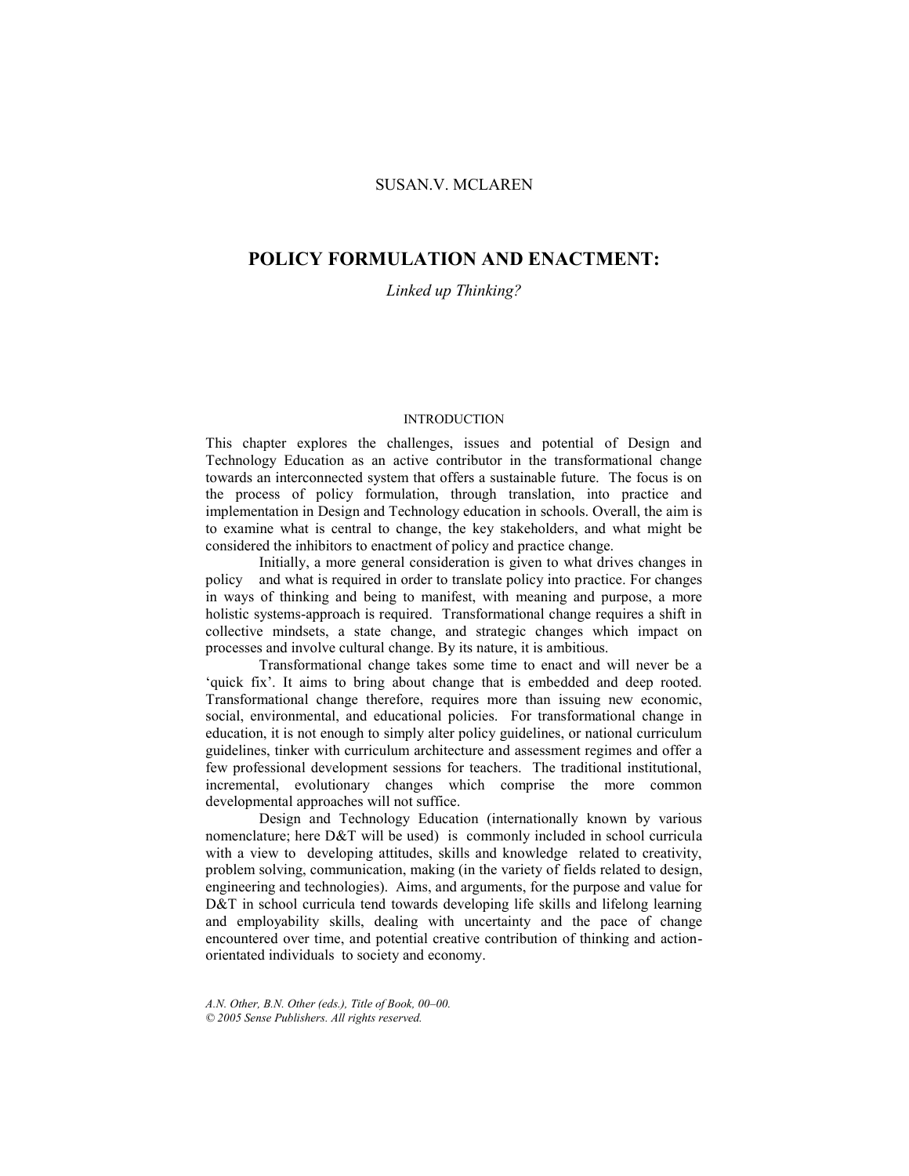# **POLICY FORMULATION AND ENACTMENT:**

# *Linked up Thinking?*

#### INTRODUCTION

This chapter explores the challenges, issues and potential of Design and Technology Education as an active contributor in the transformational change towards an interconnected system that offers a sustainable future. The focus is on the process of policy formulation, through translation, into practice and implementation in Design and Technology education in schools. Overall, the aim is to examine what is central to change, the key stakeholders, and what might be considered the inhibitors to enactment of policy and practice change.

Initially, a more general consideration is given to what drives changes in policy and what is required in order to translate policy into practice. For changes in ways of thinking and being to manifest, with meaning and purpose, a more holistic systems-approach is required. Transformational change requires a shift in collective mindsets, a state change, and strategic changes which impact on processes and involve cultural change. By its nature, it is ambitious.

Transformational change takes some time to enact and will never be a 'quick fix'. It aims to bring about change that is embedded and deep rooted. Transformational change therefore, requires more than issuing new economic, social, environmental, and educational policies. For transformational change in education, it is not enough to simply alter policy guidelines, or national curriculum guidelines, tinker with curriculum architecture and assessment regimes and offer a few professional development sessions for teachers. The traditional institutional, incremental, evolutionary changes which comprise the more common developmental approaches will not suffice.

Design and Technology Education (internationally known by various nomenclature; here D&T will be used) is commonly included in school curricula with a view to developing attitudes, skills and knowledge related to creativity, problem solving, communication, making (in the variety of fields related to design, engineering and technologies). Aims, and arguments, for the purpose and value for D&T in school curricula tend towards developing life skills and lifelong learning and employability skills, dealing with uncertainty and the pace of change encountered over time, and potential creative contribution of thinking and actionorientated individuals to society and economy.

*A.N. Other, B.N. Other (eds.), Title of Book, 00–00. © 2005 Sense Publishers. All rights reserved.*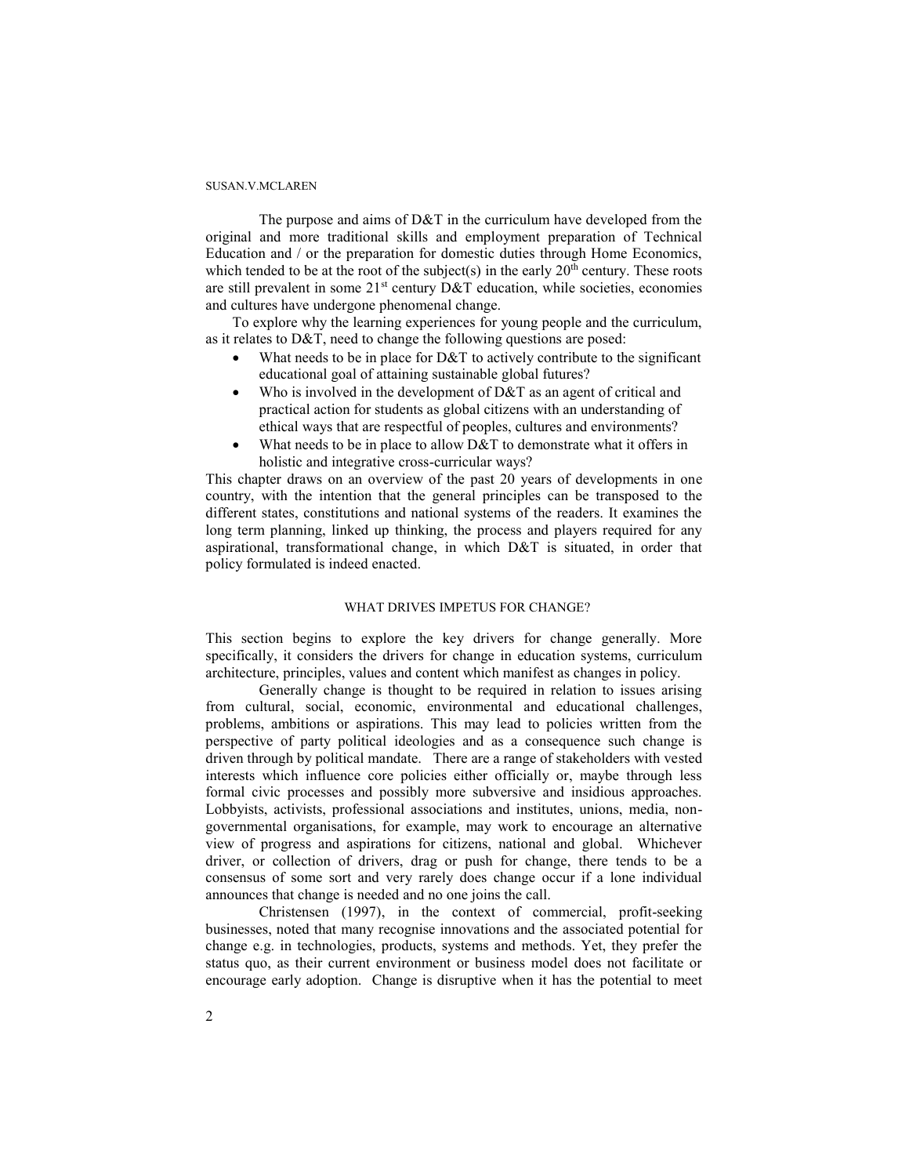The purpose and aims of D&T in the curriculum have developed from the original and more traditional skills and employment preparation of Technical Education and / or the preparation for domestic duties through Home Economics, which tended to be at the root of the subject(s) in the early  $20<sup>th</sup>$  century. These roots are still prevalent in some 21<sup>st</sup> century D&T education, while societies, economies and cultures have undergone phenomenal change.

To explore why the learning experiences for young people and the curriculum, as it relates to D&T, need to change the following questions are posed:

- What needs to be in place for D&T to actively contribute to the significant educational goal of attaining sustainable global futures?
- Who is involved in the development of D&T as an agent of critical and practical action for students as global citizens with an understanding of ethical ways that are respectful of peoples, cultures and environments?
- What needs to be in place to allow D&T to demonstrate what it offers in holistic and integrative cross-curricular ways?

This chapter draws on an overview of the past 20 years of developments in one country, with the intention that the general principles can be transposed to the different states, constitutions and national systems of the readers. It examines the long term planning, linked up thinking, the process and players required for any aspirational, transformational change, in which D&T is situated, in order that policy formulated is indeed enacted.

#### WHAT DRIVES IMPETUS FOR CHANGE?

This section begins to explore the key drivers for change generally. More specifically, it considers the drivers for change in education systems, curriculum architecture, principles, values and content which manifest as changes in policy.

Generally change is thought to be required in relation to issues arising from cultural, social, economic, environmental and educational challenges, problems, ambitions or aspirations. This may lead to policies written from the perspective of party political ideologies and as a consequence such change is driven through by political mandate. There are a range of stakeholders with vested interests which influence core policies either officially or, maybe through less formal civic processes and possibly more subversive and insidious approaches. Lobbyists, activists, professional associations and institutes, unions, media, nongovernmental organisations, for example, may work to encourage an alternative view of progress and aspirations for citizens, national and global. Whichever driver, or collection of drivers, drag or push for change, there tends to be a consensus of some sort and very rarely does change occur if a lone individual announces that change is needed and no one joins the call.

Christensen (1997), in the context of commercial, profit-seeking businesses, noted that many recognise innovations and the associated potential for change e.g. in technologies, products, systems and methods. Yet, they prefer the status quo, as their current environment or business model does not facilitate or encourage early adoption. Change is disruptive when it has the potential to meet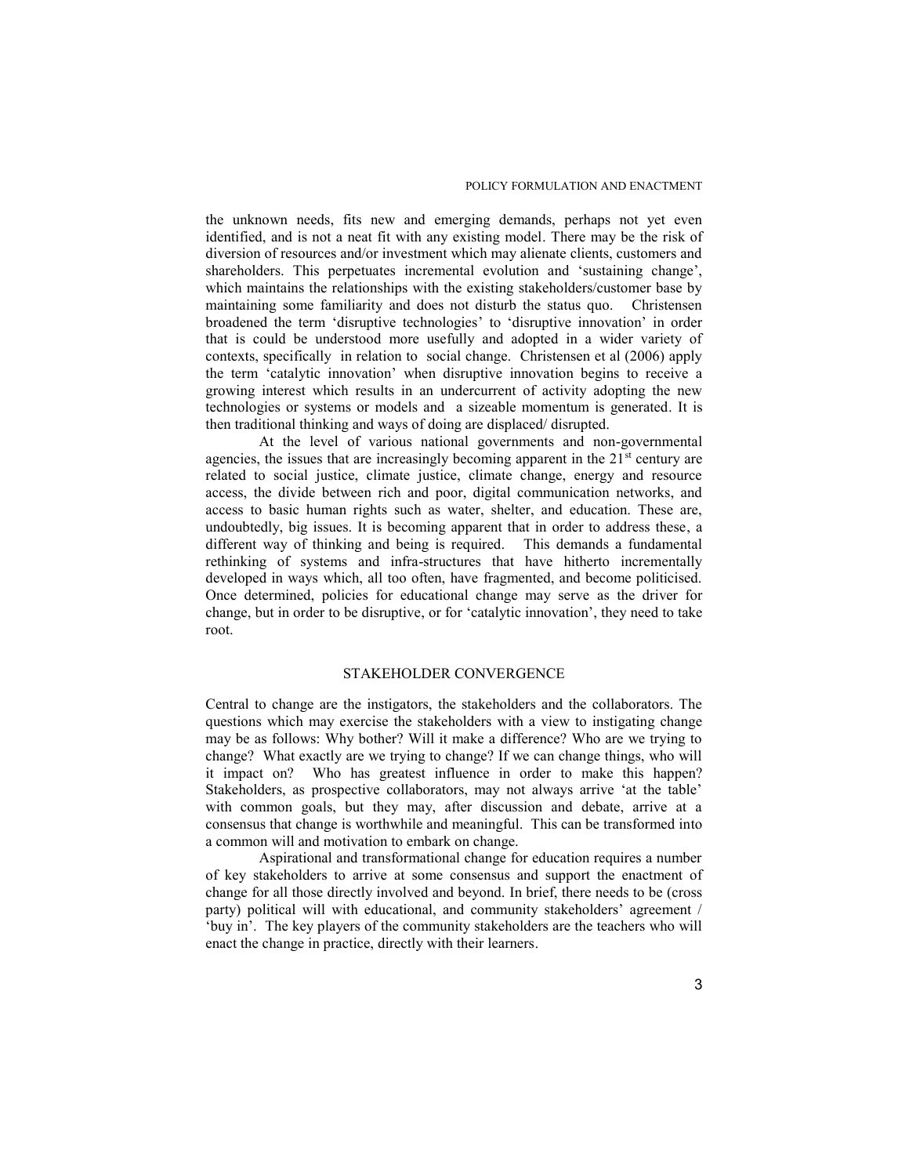the unknown needs, fits new and emerging demands, perhaps not yet even identified, and is not a neat fit with any existing model. There may be the risk of diversion of resources and/or investment which may alienate clients, customers and shareholders. This perpetuates incremental evolution and 'sustaining change', which maintains the relationships with the existing stakeholders/customer base by maintaining some familiarity and does not disturb the status quo. Christensen broadened the term 'disruptive technologies' to 'disruptive innovation' in order that is could be understood more usefully and adopted in a wider variety of contexts, specifically in relation to social change. Christensen et al (2006) apply the term 'catalytic innovation' when disruptive innovation begins to receive a growing interest which results in an undercurrent of activity adopting the new technologies or systems or models and a sizeable momentum is generated. It is then traditional thinking and ways of doing are displaced/ disrupted.

At the level of various national governments and non-governmental agencies, the issues that are increasingly becoming apparent in the  $21<sup>st</sup>$  century are related to social justice, climate justice, climate change, energy and resource access, the divide between rich and poor, digital communication networks, and access to basic human rights such as water, shelter, and education. These are, undoubtedly, big issues. It is becoming apparent that in order to address these, a different way of thinking and being is required. This demands a fundamental rethinking of systems and infra-structures that have hitherto incrementally developed in ways which, all too often, have fragmented, and become politicised. Once determined, policies for educational change may serve as the driver for change, but in order to be disruptive, or for 'catalytic innovation', they need to take root.

#### STAKEHOLDER CONVERGENCE

Central to change are the instigators, the stakeholders and the collaborators. The questions which may exercise the stakeholders with a view to instigating change may be as follows: Why bother? Will it make a difference? Who are we trying to change? What exactly are we trying to change? If we can change things, who will it impact on? Who has greatest influence in order to make this happen? Stakeholders, as prospective collaborators, may not always arrive 'at the table' with common goals, but they may, after discussion and debate, arrive at a consensus that change is worthwhile and meaningful. This can be transformed into a common will and motivation to embark on change.

Aspirational and transformational change for education requires a number of key stakeholders to arrive at some consensus and support the enactment of change for all those directly involved and beyond. In brief, there needs to be (cross party) political will with educational, and community stakeholders' agreement / 'buy in'. The key players of the community stakeholders are the teachers who will enact the change in practice, directly with their learners.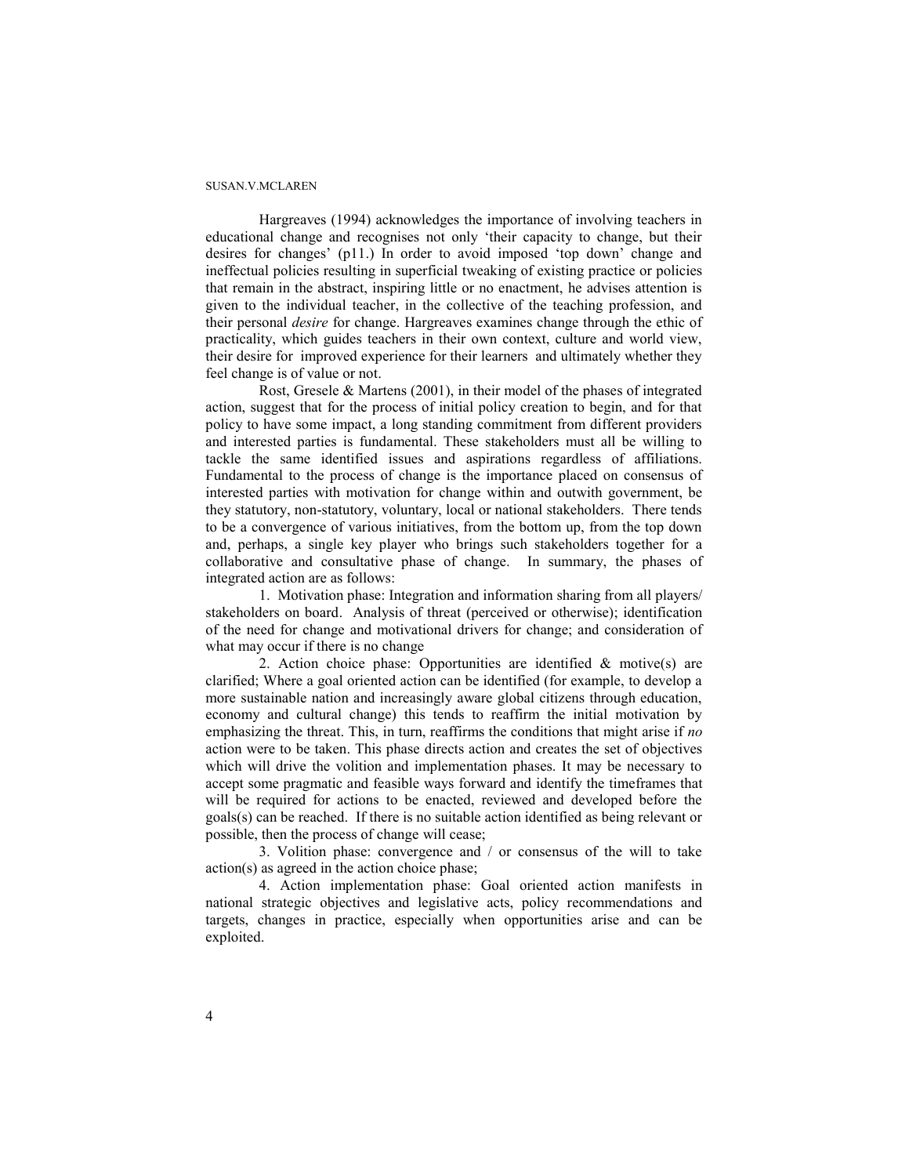Hargreaves (1994) acknowledges the importance of involving teachers in educational change and recognises not only 'their capacity to change, but their desires for changes' (p11.) In order to avoid imposed 'top down' change and ineffectual policies resulting in superficial tweaking of existing practice or policies that remain in the abstract, inspiring little or no enactment, he advises attention is given to the individual teacher, in the collective of the teaching profession, and their personal *desire* for change. Hargreaves examines change through the ethic of practicality, which guides teachers in their own context, culture and world view, their desire for improved experience for their learners and ultimately whether they feel change is of value or not.

Rost, Gresele & Martens (2001), in their model of the phases of integrated action, suggest that for the process of initial policy creation to begin, and for that policy to have some impact, a long standing commitment from different providers and interested parties is fundamental. These stakeholders must all be willing to tackle the same identified issues and aspirations regardless of affiliations. Fundamental to the process of change is the importance placed on consensus of interested parties with motivation for change within and outwith government, be they statutory, non-statutory, voluntary, local or national stakeholders. There tends to be a convergence of various initiatives, from the bottom up, from the top down and, perhaps, a single key player who brings such stakeholders together for a collaborative and consultative phase of change. In summary, the phases of integrated action are as follows:

1. Motivation phase: Integration and information sharing from all players/ stakeholders on board. Analysis of threat (perceived or otherwise); identification of the need for change and motivational drivers for change; and consideration of what may occur if there is no change

2. Action choice phase: Opportunities are identified & motive(s) are clarified; Where a goal oriented action can be identified (for example, to develop a more sustainable nation and increasingly aware global citizens through education, economy and cultural change) this tends to reaffirm the initial motivation by emphasizing the threat. This, in turn, reaffirms the conditions that might arise if *no* action were to be taken. This phase directs action and creates the set of objectives which will drive the volition and implementation phases. It may be necessary to accept some pragmatic and feasible ways forward and identify the timeframes that will be required for actions to be enacted, reviewed and developed before the goals(s) can be reached. If there is no suitable action identified as being relevant or possible, then the process of change will cease;

3. Volition phase: convergence and / or consensus of the will to take action(s) as agreed in the action choice phase;

4. Action implementation phase: Goal oriented action manifests in national strategic objectives and legislative acts, policy recommendations and targets, changes in practice, especially when opportunities arise and can be exploited.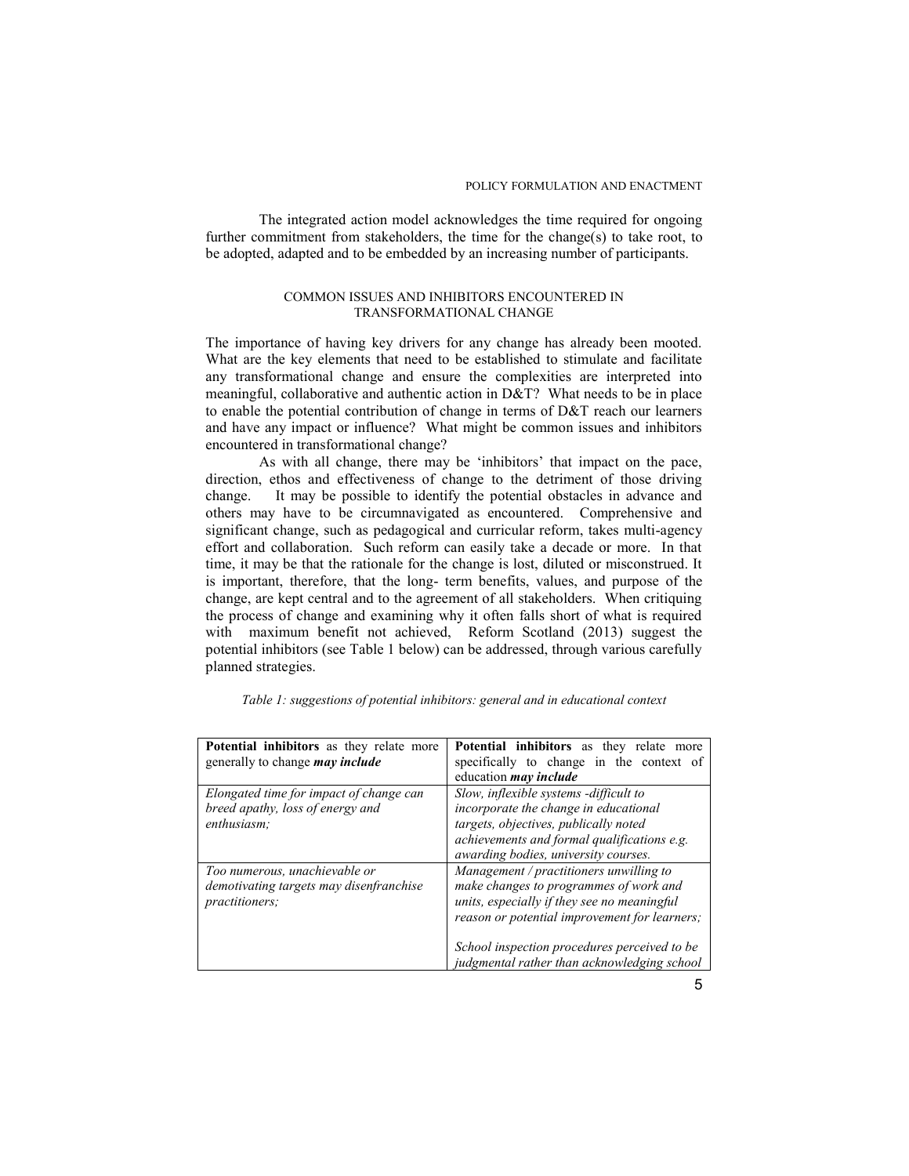The integrated action model acknowledges the time required for ongoing further commitment from stakeholders, the time for the change(s) to take root, to be adopted, adapted and to be embedded by an increasing number of participants.

### COMMON ISSUES AND INHIBITORS ENCOUNTERED IN TRANSFORMATIONAL CHANGE

The importance of having key drivers for any change has already been mooted. What are the key elements that need to be established to stimulate and facilitate any transformational change and ensure the complexities are interpreted into meaningful, collaborative and authentic action in D&T? What needs to be in place to enable the potential contribution of change in terms of D&T reach our learners and have any impact or influence? What might be common issues and inhibitors encountered in transformational change?

As with all change, there may be 'inhibitors' that impact on the pace, direction, ethos and effectiveness of change to the detriment of those driving change. It may be possible to identify the potential obstacles in advance and others may have to be circumnavigated as encountered. Comprehensive and significant change, such as pedagogical and curricular reform, takes multi-agency effort and collaboration. Such reform can easily take a decade or more. In that time, it may be that the rationale for the change is lost, diluted or misconstrued. It is important, therefore, that the long- term benefits, values, and purpose of the change, are kept central and to the agreement of all stakeholders. When critiquing the process of change and examining why it often falls short of what is required with maximum benefit not achieved, Reform Scotland (2013) suggest the potential inhibitors (see Table 1 below) can be addressed, through various carefully planned strategies.

| <b>Potential inhibitors</b> as they relate more<br>generally to change <i>may include</i>         | <b>Potential inhibitors</b> as they relate more<br>specifically to change in the context of<br>education <i>may include</i>                                                                                                                                                      |
|---------------------------------------------------------------------------------------------------|----------------------------------------------------------------------------------------------------------------------------------------------------------------------------------------------------------------------------------------------------------------------------------|
| Elongated time for impact of change can<br>breed apathy, loss of energy and<br>enthusiasm:        | Slow, inflexible systems -difficult to<br>incorporate the change in educational<br>targets, objectives, publically noted<br>achievements and formal qualifications e.g.<br>awarding bodies, university courses.                                                                  |
| Too numerous, unachievable or<br>demotivating targets may disenfranchise<br><i>practitioners:</i> | Management / practitioners unwilling to<br>make changes to programmes of work and<br>units, especially if they see no meaningful<br>reason or potential improvement for learners;<br>School inspection procedures perceived to be<br>judgmental rather than acknowledging school |

*Table 1: suggestions of potential inhibitors: general and in educational context*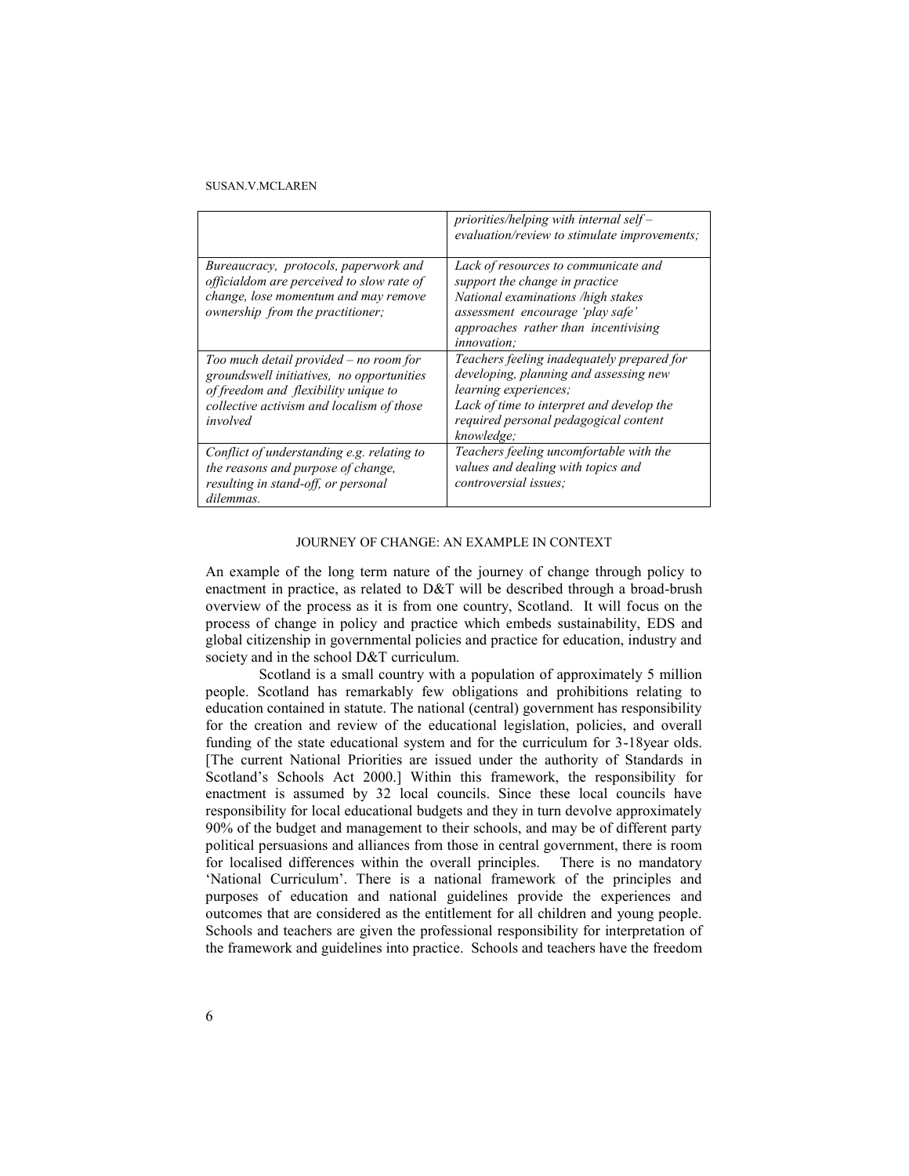|                                                                                                                                                                                      | priorities/helping with internal self-<br>evaluation/review to stimulate improvements;                                                                                                                            |
|--------------------------------------------------------------------------------------------------------------------------------------------------------------------------------------|-------------------------------------------------------------------------------------------------------------------------------------------------------------------------------------------------------------------|
| Bureaucracy, protocols, paperwork and<br>officialdom are perceived to slow rate of<br>change, lose momentum and may remove<br>ownership from the practitioner;                       | Lack of resources to communicate and<br>support the change in practice<br>National examinations /high stakes<br>assessment encourage 'play safe'<br>approaches rather than incentivising<br><i>innovation</i> ;   |
| Too much detail provided – no room for<br>groundswell initiatives, no opportunities<br>of freedom and flexibility unique to<br>collective activism and localism of those<br>involved | Teachers feeling inadequately prepared for<br>developing, planning and assessing new<br>learning experiences;<br>Lack of time to interpret and develop the<br>required personal pedagogical content<br>knowledge: |
| Conflict of understanding e.g. relating to<br>the reasons and purpose of change,<br>resulting in stand-off, or personal<br>dilemmas.                                                 | Teachers feeling uncomfortable with the<br>values and dealing with topics and<br>controversial issues:                                                                                                            |

#### JOURNEY OF CHANGE: AN EXAMPLE IN CONTEXT

An example of the long term nature of the journey of change through policy to enactment in practice, as related to D&T will be described through a broad-brush overview of the process as it is from one country, Scotland. It will focus on the process of change in policy and practice which embeds sustainability, EDS and global citizenship in governmental policies and practice for education, industry and society and in the school D&T curriculum.

Scotland is a small country with a population of approximately 5 million people. Scotland has remarkably few obligations and prohibitions relating to education contained in statute. The national (central) government has responsibility for the creation and review of the educational legislation, policies, and overall funding of the state educational system and for the curriculum for 3-18year olds. [The current National Priorities are issued under the authority of Standards in Scotland's Schools Act 2000.] Within this framework, the responsibility for enactment is assumed by 32 local councils. Since these local councils have responsibility for local educational budgets and they in turn devolve approximately 90% of the budget and management to their schools, and may be of different party political persuasions and alliances from those in central government, there is room for localised differences within the overall principles. There is no mandatory 'National Curriculum'. There is a national framework of the principles and purposes of education and national guidelines provide the experiences and outcomes that are considered as the entitlement for all children and young people. Schools and teachers are given the professional responsibility for interpretation of the framework and guidelines into practice. Schools and teachers have the freedom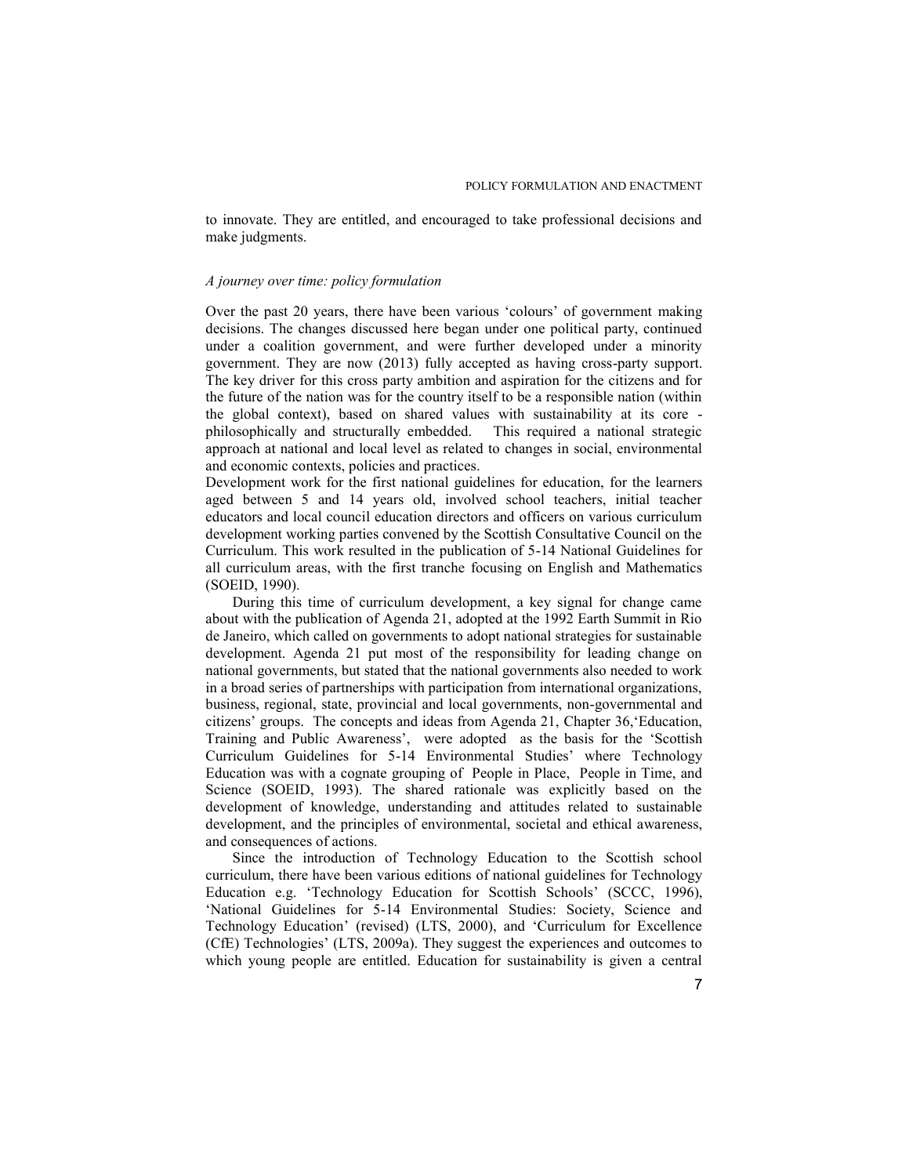to innovate. They are entitled, and encouraged to take professional decisions and make judgments.

#### *A journey over time: policy formulation*

Over the past 20 years, there have been various 'colours' of government making decisions. The changes discussed here began under one political party, continued under a coalition government, and were further developed under a minority government. They are now (2013) fully accepted as having cross-party support. The key driver for this cross party ambition and aspiration for the citizens and for the future of the nation was for the country itself to be a responsible nation (within the global context), based on shared values with sustainability at its core -<br>philosophically and structurally embedded. This required a national strategic philosophically and structurally embedded. approach at national and local level as related to changes in social, environmental and economic contexts, policies and practices.

Development work for the first national guidelines for education, for the learners aged between 5 and 14 years old, involved school teachers, initial teacher educators and local council education directors and officers on various curriculum development working parties convened by the Scottish Consultative Council on the Curriculum. This work resulted in the publication of 5-14 National Guidelines for all curriculum areas, with the first tranche focusing on English and Mathematics (SOEID, 1990).

During this time of curriculum development, a key signal for change came about with the publication of Agenda 21, adopted at the 1992 Earth Summit in Rio de Janeiro, which called on governments to adopt national strategies for sustainable development. Agenda 21 put most of the responsibility for leading change on national governments, but stated that the national governments also needed to work in a broad series of partnerships with participation from international organizations, business, regional, state, provincial and local governments, non-governmental and citizens' groups. The concepts and ideas from Agenda 21, Chapter 36,'Education, Training and Public Awareness', were adopted as the basis for the 'Scottish Curriculum Guidelines for 5-14 Environmental Studies' where Technology Education was with a cognate grouping of People in Place, People in Time, and Science (SOEID, 1993). The shared rationale was explicitly based on the development of knowledge, understanding and attitudes related to sustainable development, and the principles of environmental, societal and ethical awareness, and consequences of actions.

Since the introduction of Technology Education to the Scottish school curriculum, there have been various editions of national guidelines for Technology Education e.g. 'Technology Education for Scottish Schools' (SCCC, 1996), 'National Guidelines for 5-14 Environmental Studies: Society, Science and Technology Education' (revised) (LTS, 2000), and 'Curriculum for Excellence (CfE) Technologies' (LTS, 2009a). They suggest the experiences and outcomes to which young people are entitled. Education for sustainability is given a central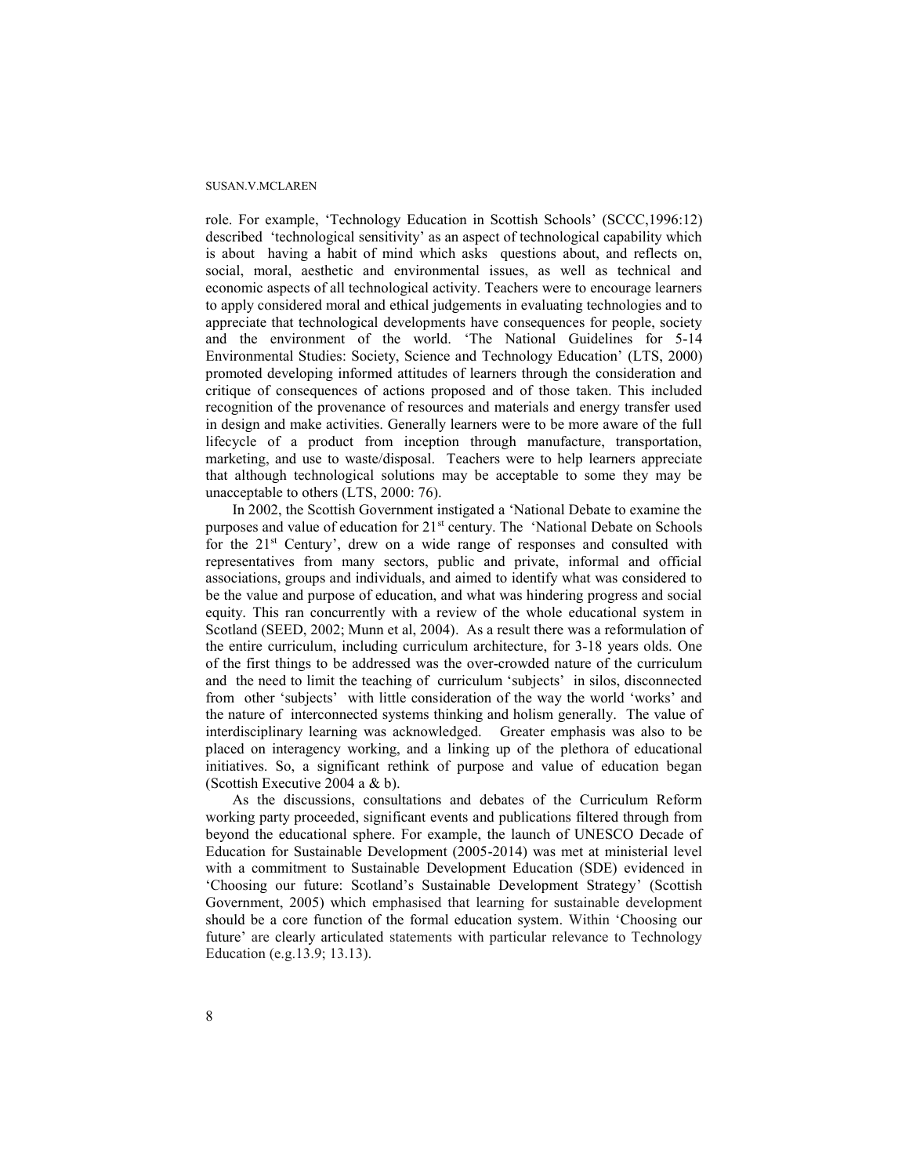role. For example, 'Technology Education in Scottish Schools' (SCCC,1996:12) described 'technological sensitivity' as an aspect of technological capability which is about having a habit of mind which asks questions about, and reflects on, social, moral, aesthetic and environmental issues, as well as technical and economic aspects of all technological activity. Teachers were to encourage learners to apply considered moral and ethical judgements in evaluating technologies and to appreciate that technological developments have consequences for people, society and the environment of the world. 'The National Guidelines for 5-14 Environmental Studies: Society, Science and Technology Education' (LTS, 2000) promoted developing informed attitudes of learners through the consideration and critique of consequences of actions proposed and of those taken. This included recognition of the provenance of resources and materials and energy transfer used in design and make activities. Generally learners were to be more aware of the full lifecycle of a product from inception through manufacture, transportation, marketing, and use to waste/disposal. Teachers were to help learners appreciate that although technological solutions may be acceptable to some they may be unacceptable to others (LTS, 2000: 76).

In 2002, the Scottish Government instigated a 'National Debate to examine the purposes and value of education for 21<sup>st</sup> century. The 'National Debate on Schools for the 21st Century', drew on a wide range of responses and consulted with representatives from many sectors, public and private, informal and official associations, groups and individuals, and aimed to identify what was considered to be the value and purpose of education, and what was hindering progress and social equity. This ran concurrently with a review of the whole educational system in Scotland (SEED, 2002; Munn et al, 2004). As a result there was a reformulation of the entire curriculum, including curriculum architecture, for 3-18 years olds. One of the first things to be addressed was the over-crowded nature of the curriculum and the need to limit the teaching of curriculum 'subjects' in silos, disconnected from other 'subjects' with little consideration of the way the world 'works' and the nature of interconnected systems thinking and holism generally. The value of interdisciplinary learning was acknowledged. Greater emphasis was also to be placed on interagency working, and a linking up of the plethora of educational initiatives. So, a significant rethink of purpose and value of education began (Scottish Executive 2004 a & b).

As the discussions, consultations and debates of the Curriculum Reform working party proceeded, significant events and publications filtered through from beyond the educational sphere. For example, the launch of UNESCO Decade of Education for Sustainable Development (2005-2014) was met at ministerial level with a commitment to Sustainable Development Education (SDE) evidenced in 'Choosing our future: Scotland's Sustainable Development Strategy' (Scottish Government, 2005) which emphasised that learning for sustainable development should be a core function of the formal education system. Within 'Choosing our future' are clearly articulated statements with particular relevance to Technology Education (e.g.13.9; 13.13).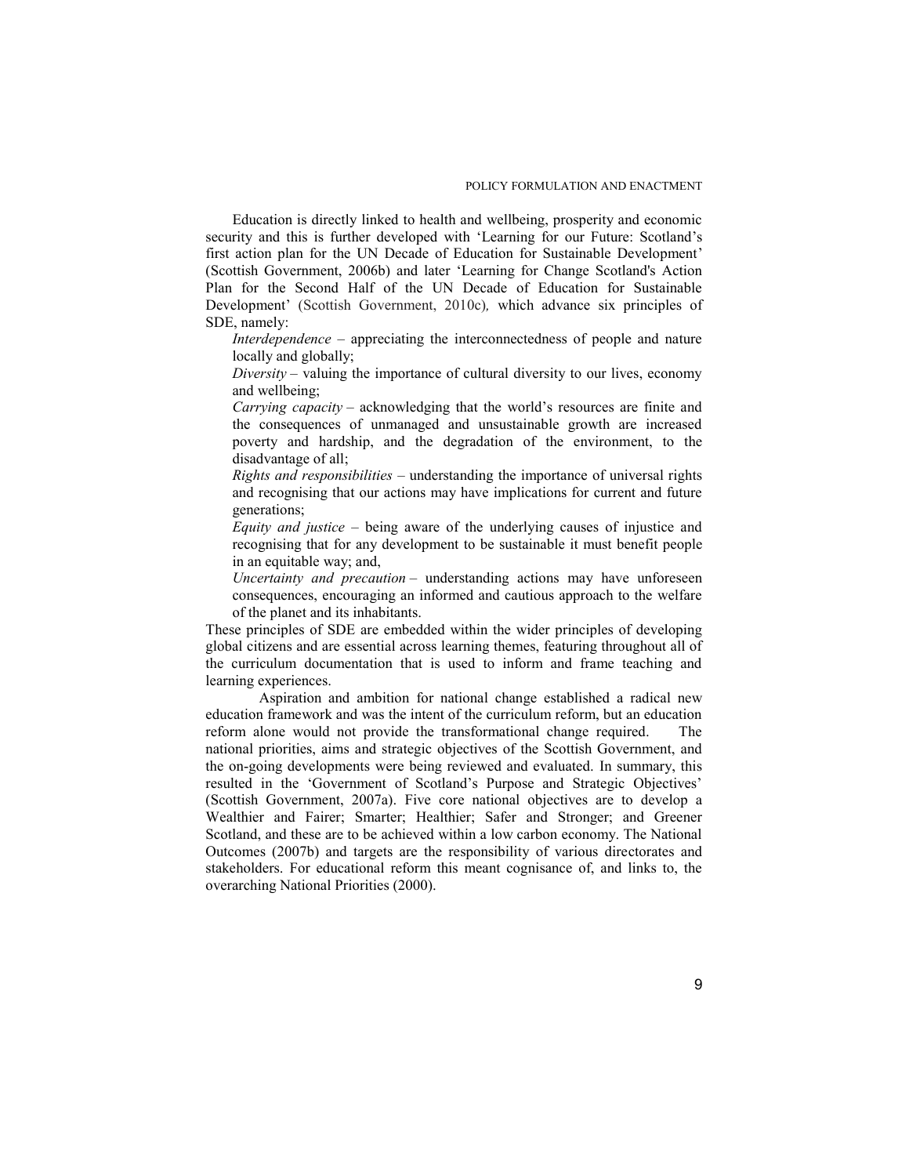Education is directly linked to health and wellbeing, prosperity and economic security and this is further developed with 'Learning for our Future: Scotland's first action plan for the UN Decade of Education for Sustainable Development' (Scottish Government, 2006b) and later 'Learning for Change Scotland's Action Plan for the Second Half of the UN Decade of Education for Sustainable Development' (Scottish Government, 2010c)*,* which advance six principles of SDE, namely:

*Interdependence* – appreciating the interconnectedness of people and nature locally and globally;

*Diversity* – valuing the importance of cultural diversity to our lives, economy and wellbeing;

*Carrying capacity* – acknowledging that the world's resources are finite and the consequences of unmanaged and unsustainable growth are increased poverty and hardship, and the degradation of the environment, to the disadvantage of all;

*Rights and responsibilities* – understanding the importance of universal rights and recognising that our actions may have implications for current and future generations;

*Equity and justice* – being aware of the underlying causes of injustice and recognising that for any development to be sustainable it must benefit people in an equitable way; and,

*Uncertainty and precaution* – understanding actions may have unforeseen consequences, encouraging an informed and cautious approach to the welfare of the planet and its inhabitants.

These principles of SDE are embedded within the wider principles of developing global citizens and are essential across learning themes, featuring throughout all of the curriculum documentation that is used to inform and frame teaching and learning experiences.

Aspiration and ambition for national change established a radical new education framework and was the intent of the curriculum reform, but an education reform alone would not provide the transformational change required. The national priorities, aims and strategic objectives of the Scottish Government, and the on-going developments were being reviewed and evaluated. In summary, this resulted in the 'Government of Scotland's Purpose and Strategic Objectives' (Scottish Government, 2007a). Five core national objectives are to develop a Wealthier and Fairer; Smarter; Healthier; Safer and Stronger; and Greener Scotland, and these are to be achieved within a low carbon economy. The National Outcomes (2007b) and targets are the responsibility of various directorates and stakeholders. For educational reform this meant cognisance of, and links to, the overarching National Priorities (2000).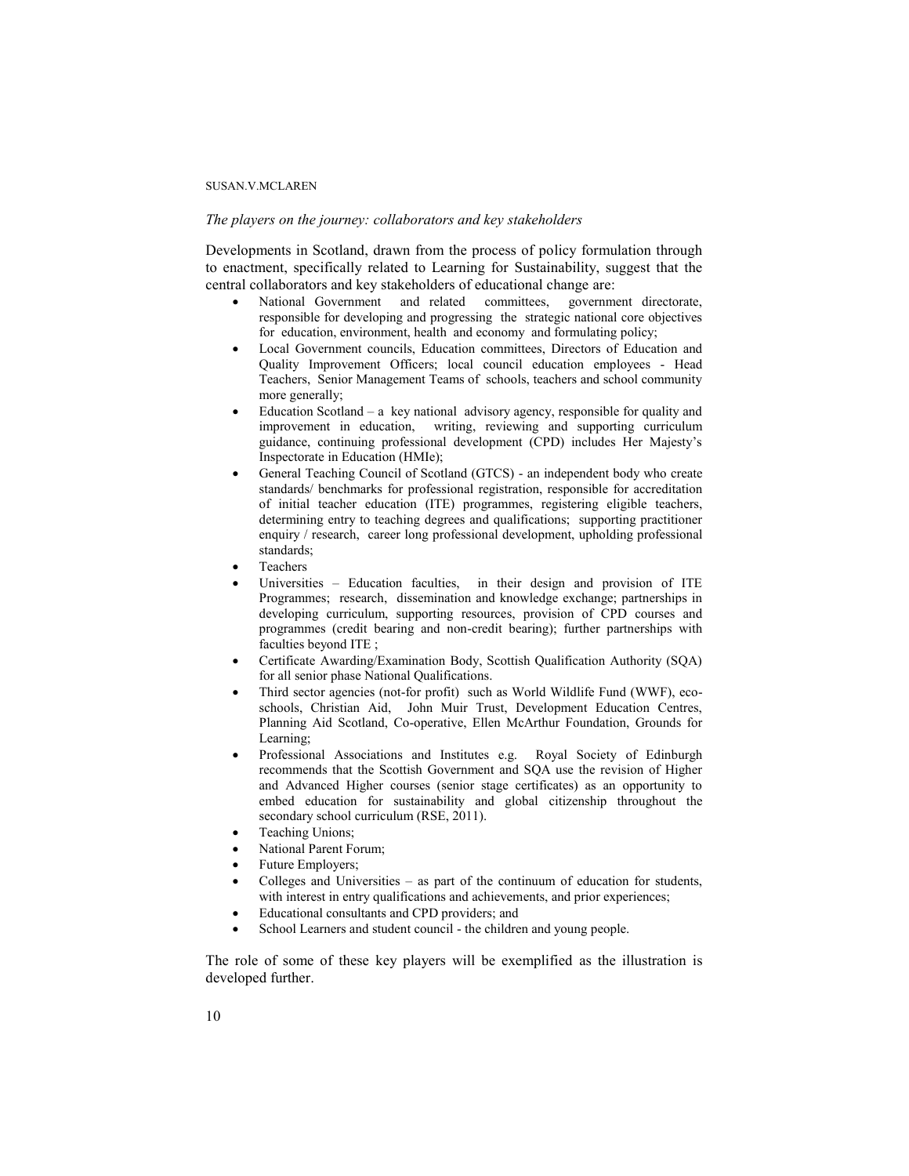#### *The players on the journey: collaborators and key stakeholders*

Developments in Scotland, drawn from the process of policy formulation through to enactment, specifically related to Learning for Sustainability, suggest that the central collaborators and key stakeholders of educational change are:

- National Government and related committees, government directorate, responsible for developing and progressing the strategic national core objectives for education, environment, health and economy and formulating policy;
- Local Government councils, Education committees, Directors of Education and Quality Improvement Officers; local council education employees - Head Teachers, Senior Management Teams of schools, teachers and school community more generally;
- Education Scotland a key national advisory agency, responsible for quality and improvement in education, writing, reviewing and supporting curriculum guidance, continuing professional development (CPD) includes Her Majesty's Inspectorate in Education (HMIe);
- General Teaching Council of Scotland (GTCS) an independent body who create standards/ benchmarks for professional registration, responsible for accreditation of initial teacher education (ITE) programmes, registering eligible teachers, determining entry to teaching degrees and qualifications; supporting practitioner enquiry / research, career long professional development, upholding professional standards;
- Teachers
- Universities Education faculties, in their design and provision of ITE Programmes; research, dissemination and knowledge exchange; partnerships in developing curriculum, supporting resources, provision of CPD courses and programmes (credit bearing and non-credit bearing); further partnerships with faculties beyond ITE ;
- Certificate Awarding/Examination Body, Scottish Qualification Authority (SQA) for all senior phase National Qualifications.
- Third sector agencies (not-for profit) such as World Wildlife Fund (WWF), ecoschools, Christian Aid, John Muir Trust, Development Education Centres, Planning Aid Scotland, Co-operative, Ellen McArthur Foundation, Grounds for Learning;
- Professional Associations and Institutes e.g. Royal Society of Edinburgh recommends that the Scottish Government and SQA use the revision of Higher and Advanced Higher courses (senior stage certificates) as an opportunity to embed education for sustainability and global citizenship throughout the secondary school curriculum (RSE, 2011).
- Teaching Unions;
- National Parent Forum;
- Future Employers;
- Colleges and Universities as part of the continuum of education for students, with interest in entry qualifications and achievements, and prior experiences;
- Educational consultants and CPD providers; and
- School Learners and student council the children and young people.

The role of some of these key players will be exemplified as the illustration is developed further.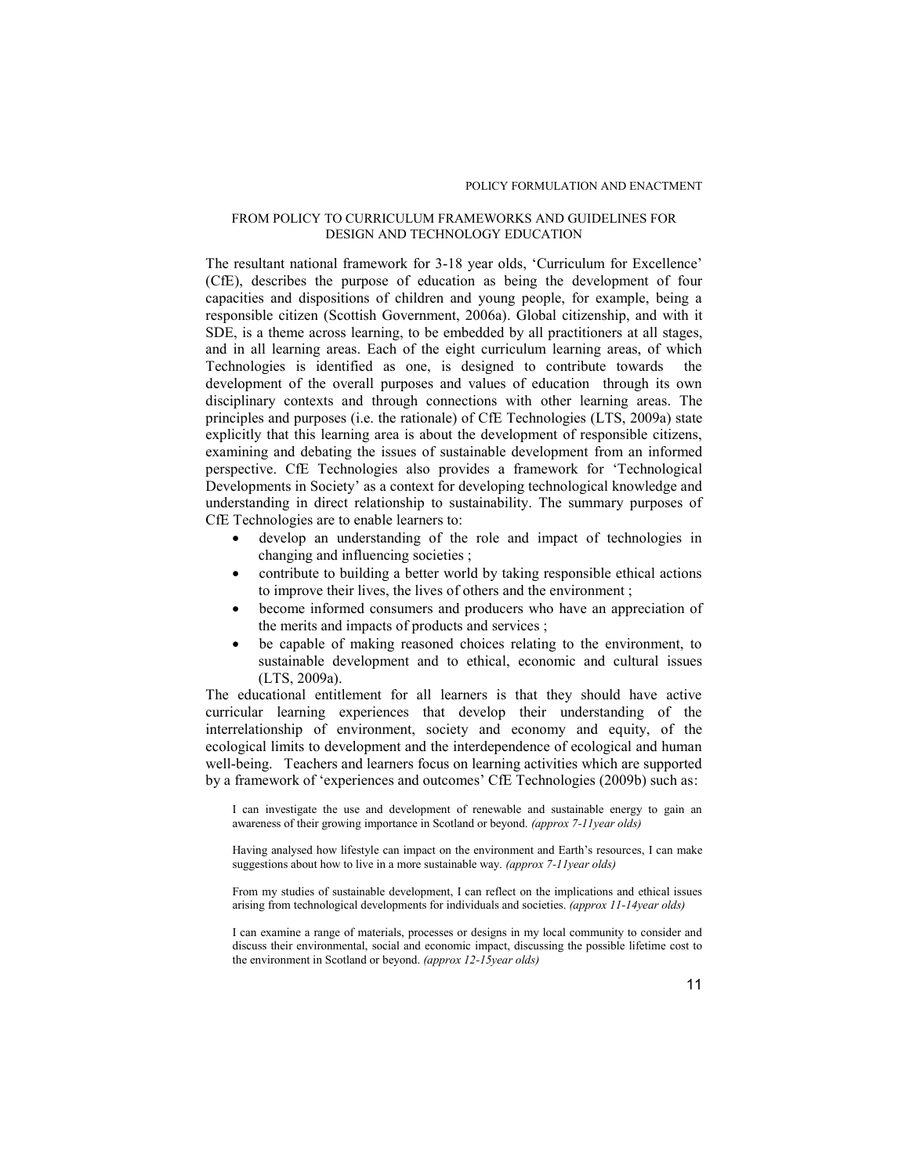#### FROM POLICY TO CURRICULUM FRAMEWORKS AND GUIDELINES FOR DESIGN AND TECHNOLOGY EDUCATION

The resultant national framework for 3-18 year olds, 'Curriculum for Excellence' (CfE), describes the purpose of education as being the development of four capacities and dispositions of children and young people, for example, being a responsible citizen (Scottish Government, 2006a). Global citizenship, and with it SDE, is a theme across learning, to be embedded by all practitioners at all stages, and in all learning areas. Each of the eight curriculum learning areas, of which Technologies is identified as one, is designed to contribute towards the development of the overall purposes and values of education through its own disciplinary contexts and through connections with other learning areas. The principles and purposes (i.e. the rationale) of CfE Technologies (LTS, 2009a) state explicitly that this learning area is about the development of responsible citizens, examining and debating the issues of sustainable development from an informed perspective. CfE Technologies also provides a framework for 'Technological Developments in Society' as a context for developing technological knowledge and understanding in direct relationship to sustainability. The summary purposes of CfE Technologies are to enable learners to:

- develop an understanding of the role and impact of technologies in changing and influencing societies ;
- contribute to building a better world by taking responsible ethical actions to improve their lives, the lives of others and the environment ;
- become informed consumers and producers who have an appreciation of the merits and impacts of products and services ;
- be capable of making reasoned choices relating to the environment, to sustainable development and to ethical, economic and cultural issues (LTS, 2009a).

The educational entitlement for all learners is that they should have active curricular learning experiences that develop their understanding of the interrelationship of environment, society and economy and equity, of the ecological limits to development and the interdependence of ecological and human well-being. Teachers and learners focus on learning activities which are supported by a framework of 'experiences and outcomes' CfE Technologies (2009b) such as:

I can investigate the use and development of renewable and sustainable energy to gain an awareness of their growing importance in Scotland or beyond. *(approx 7-11year olds)*

Having analysed how lifestyle can impact on the environment and Earth's resources, I can make suggestions about how to live in a more sustainable way. *(approx 7-11year olds)*

From my studies of sustainable development, I can reflect on the implications and ethical issues arising from technological developments for individuals and societies. *(approx 11-14year olds)*

I can examine a range of materials, processes or designs in my local community to consider and discuss their environmental, social and economic impact, discussing the possible lifetime cost to the environment in Scotland or beyond. *(approx 12-15year olds)*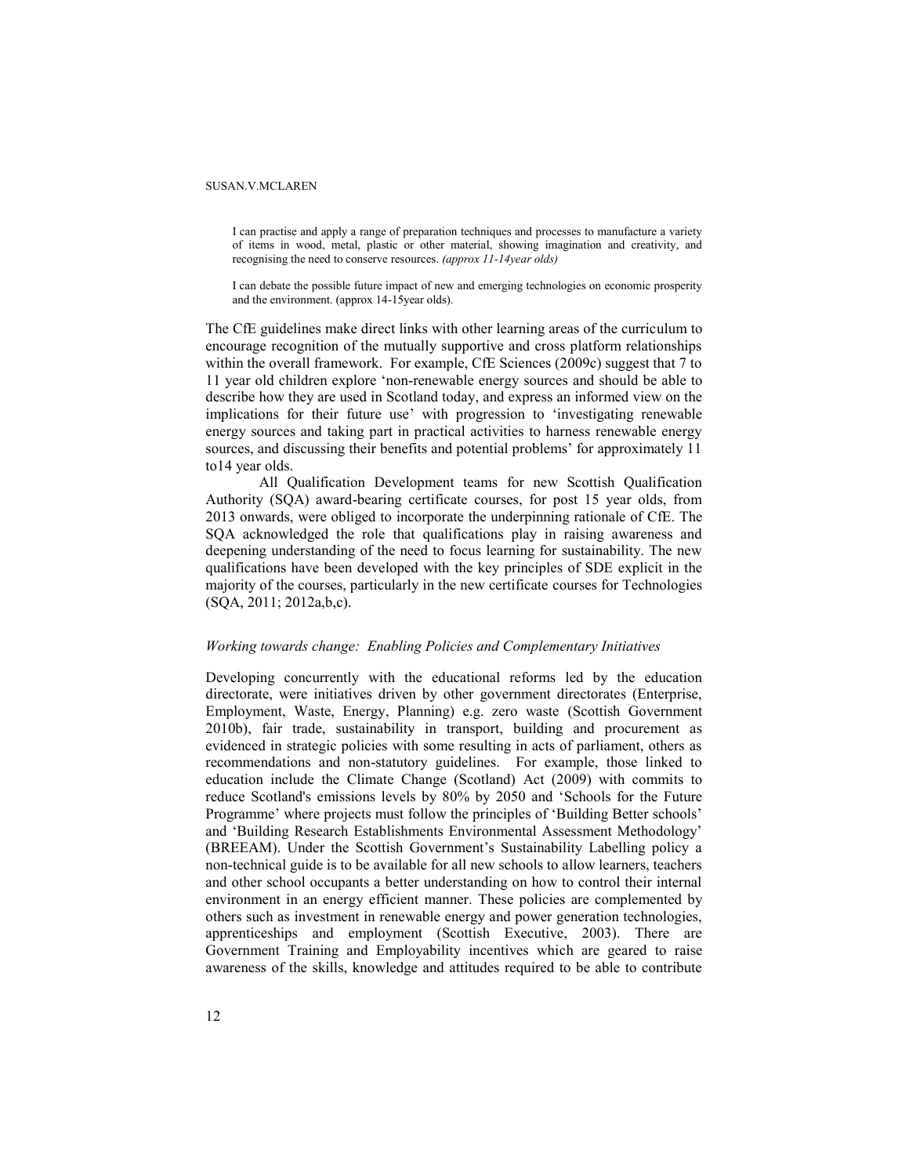I can practise and apply a range of preparation techniques and processes to manufacture a variety of items in wood, metal, plastic or other material, showing imagination and creativity, and recognising the need to conserve resources. *(approx 11-14year olds)*

I can debate the possible future impact of new and emerging technologies on economic prosperity and the environment. (approx 14-15year olds).

The CfE guidelines make direct links with other learning areas of the curriculum to encourage recognition of the mutually supportive and cross platform relationships within the overall framework. For example, CfE Sciences (2009c) suggest that 7 to 11 year old children explore 'non-renewable energy sources and should be able to describe how they are used in Scotland today, and express an informed view on the implications for their future use' with progression to 'investigating renewable energy sources and taking part in practical activities to harness renewable energy sources, and discussing their benefits and potential problems' for approximately 11 to14 year olds.

All Qualification Development teams for new Scottish Qualification Authority (SQA) award-bearing certificate courses, for post 15 year olds, from 2013 onwards, were obliged to incorporate the underpinning rationale of CfE. The SQA acknowledged the role that qualifications play in raising awareness and deepening understanding of the need to focus learning for sustainability. The new qualifications have been developed with the key principles of SDE explicit in the majority of the courses, particularly in the new certificate courses for Technologies (SQA, 2011; 2012a,b,c).

#### *Working towards change: Enabling Policies and Complementary Initiatives*

Developing concurrently with the educational reforms led by the education directorate, were initiatives driven by other government directorates (Enterprise, Employment, Waste, Energy, Planning) e.g. zero waste (Scottish Government 2010b), fair trade, sustainability in transport, building and procurement as evidenced in strategic policies with some resulting in acts of parliament, others as recommendations and non-statutory guidelines. For example, those linked to education include the Climate Change (Scotland) Act (2009) with commits to reduce Scotland's emissions levels by 80% by 2050 and 'Schools for the Future Programme' where projects must follow the principles of 'Building Better schools' and 'Building Research Establishments Environmental Assessment Methodology' (BREEAM). Under the Scottish Government's Sustainability Labelling policy a non-technical guide is to be available for all new schools to allow learners, teachers and other school occupants a better understanding on how to control their internal environment in an energy efficient manner. These policies are complemented by others such as investment in renewable energy and power generation technologies, apprenticeships and employment (Scottish Executive, 2003). There are Government Training and Employability incentives which are geared to raise awareness of the skills, knowledge and attitudes required to be able to contribute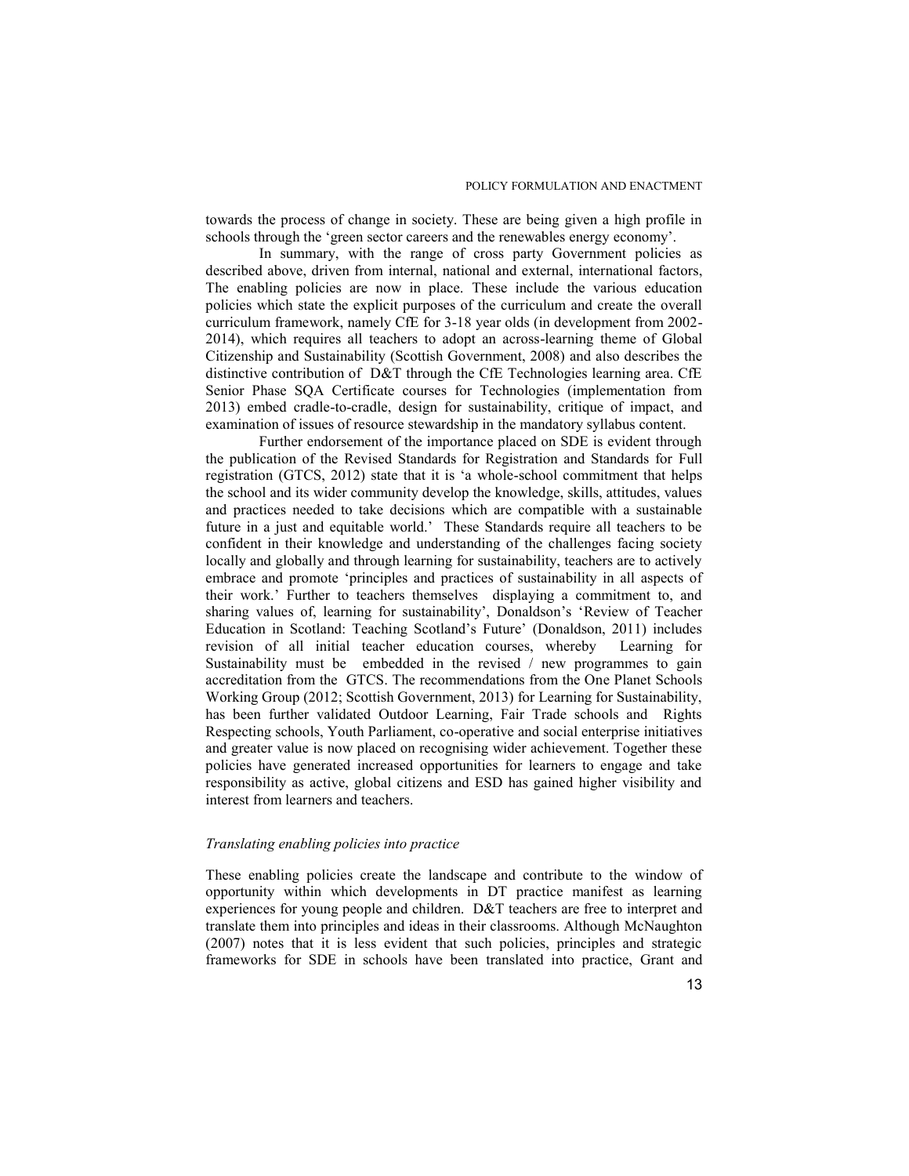towards the process of change in society. These are being given a high profile in schools through the 'green sector careers and the renewables energy economy'.

In summary, with the range of cross party Government policies as described above, driven from internal, national and external, international factors, The enabling policies are now in place. These include the various education policies which state the explicit purposes of the curriculum and create the overall curriculum framework, namely CfE for 3-18 year olds (in development from 2002- 2014), which requires all teachers to adopt an across-learning theme of Global Citizenship and Sustainability (Scottish Government, 2008) and also describes the distinctive contribution of D&T through the CfE Technologies learning area. CfE Senior Phase SQA Certificate courses for Technologies (implementation from 2013) embed cradle-to-cradle, design for sustainability, critique of impact, and examination of issues of resource stewardship in the mandatory syllabus content.

Further endorsement of the importance placed on SDE is evident through the publication of the Revised Standards for Registration and Standards for Full registration (GTCS, 2012) state that it is 'a whole-school commitment that helps the school and its wider community develop the knowledge, skills, attitudes, values and practices needed to take decisions which are compatible with a sustainable future in a just and equitable world.' These Standards require all teachers to be confident in their knowledge and understanding of the challenges facing society locally and globally and through learning for sustainability, teachers are to actively embrace and promote 'principles and practices of sustainability in all aspects of their work.' Further to teachers themselves displaying a commitment to, and sharing values of, learning for sustainability', Donaldson's 'Review of Teacher Education in Scotland: Teaching Scotland's Future' (Donaldson, 2011) includes revision of all initial teacher education courses, whereby Learning for Sustainability must be embedded in the revised / new programmes to gain accreditation from the GTCS. The recommendations from the One Planet Schools Working Group (2012; Scottish Government, 2013) for Learning for Sustainability, has been further validated Outdoor Learning, Fair Trade schools and Rights Respecting schools, Youth Parliament, co-operative and social enterprise initiatives and greater value is now placed on recognising wider achievement. Together these policies have generated increased opportunities for learners to engage and take responsibility as active, global citizens and ESD has gained higher visibility and interest from learners and teachers.

#### *Translating enabling policies into practice*

These enabling policies create the landscape and contribute to the window of opportunity within which developments in DT practice manifest as learning experiences for young people and children. D&T teachers are free to interpret and translate them into principles and ideas in their classrooms. Although McNaughton (2007) notes that it is less evident that such policies, principles and strategic frameworks for SDE in schools have been translated into practice, Grant and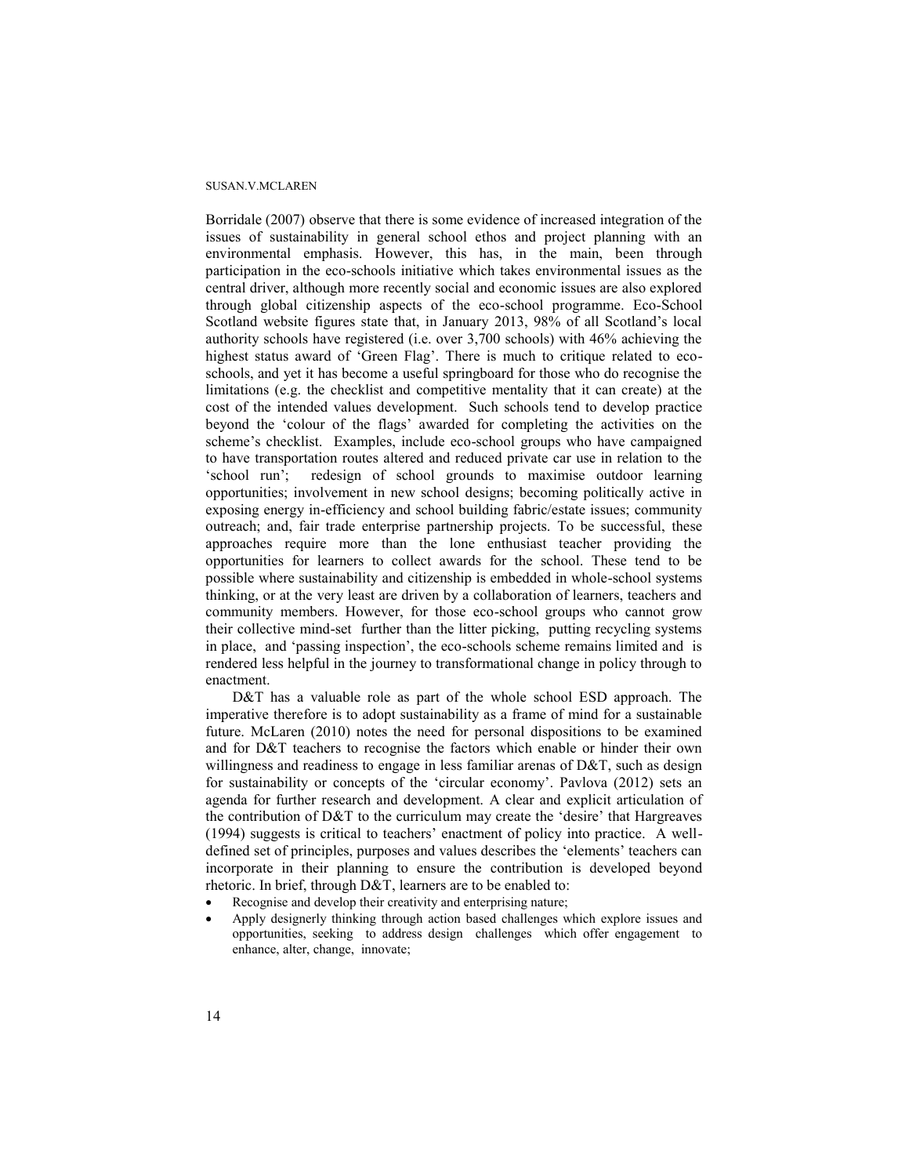Borridale (2007) observe that there is some evidence of increased integration of the issues of sustainability in general school ethos and project planning with an environmental emphasis. However, this has, in the main, been through participation in the eco-schools initiative which takes environmental issues as the central driver, although more recently social and economic issues are also explored through global citizenship aspects of the eco-school programme. Eco-School Scotland website figures state that, in January 2013, 98% of all Scotland's local authority schools have registered (i.e. over 3,700 schools) with 46% achieving the highest status award of 'Green Flag'. There is much to critique related to ecoschools, and yet it has become a useful springboard for those who do recognise the limitations (e.g. the checklist and competitive mentality that it can create) at the cost of the intended values development. Such schools tend to develop practice beyond the 'colour of the flags' awarded for completing the activities on the scheme's checklist. Examples, include eco-school groups who have campaigned to have transportation routes altered and reduced private car use in relation to the 'school run'; redesign of school grounds to maximise outdoor learning opportunities; involvement in new school designs; becoming politically active in exposing energy in-efficiency and school building fabric/estate issues; community outreach; and, fair trade enterprise partnership projects. To be successful, these approaches require more than the lone enthusiast teacher providing the opportunities for learners to collect awards for the school. These tend to be possible where sustainability and citizenship is embedded in whole-school systems thinking, or at the very least are driven by a collaboration of learners, teachers and community members. However, for those eco-school groups who cannot grow their collective mind-set further than the litter picking, putting recycling systems in place, and 'passing inspection', the eco-schools scheme remains limited and is rendered less helpful in the journey to transformational change in policy through to enactment.

D&T has a valuable role as part of the whole school ESD approach. The imperative therefore is to adopt sustainability as a frame of mind for a sustainable future. McLaren (2010) notes the need for personal dispositions to be examined and for D&T teachers to recognise the factors which enable or hinder their own willingness and readiness to engage in less familiar arenas of D&T, such as design for sustainability or concepts of the 'circular economy'. Pavlova (2012) sets an agenda for further research and development. A clear and explicit articulation of the contribution of D&T to the curriculum may create the 'desire' that Hargreaves (1994) suggests is critical to teachers' enactment of policy into practice. A welldefined set of principles, purposes and values describes the 'elements' teachers can incorporate in their planning to ensure the contribution is developed beyond rhetoric. In brief, through D&T, learners are to be enabled to:

- Recognise and develop their creativity and enterprising nature;
- Apply designerly thinking through action based challenges which explore issues and opportunities, seeking to address design challenges which offer engagement to enhance, alter, change, innovate;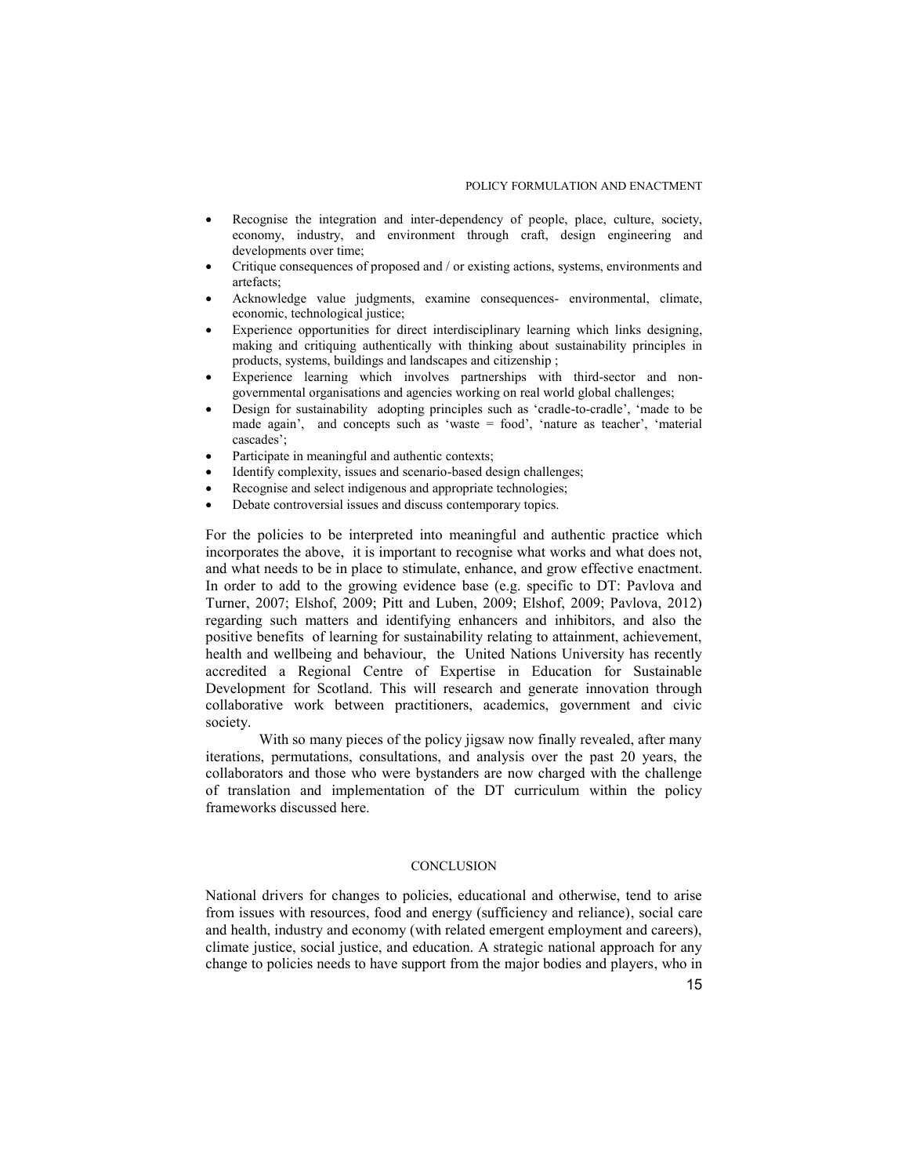- Recognise the integration and inter-dependency of people, place, culture, society, economy, industry, and environment through craft, design engineering and developments over time;
- Critique consequences of proposed and / or existing actions, systems, environments and artefacts;
- Acknowledge value judgments, examine consequences- environmental, climate, economic, technological justice;
- Experience opportunities for direct interdisciplinary learning which links designing, making and critiquing authentically with thinking about sustainability principles in products, systems, buildings and landscapes and citizenship ;
- Experience learning which involves partnerships with third-sector and nongovernmental organisations and agencies working on real world global challenges;
- Design for sustainability adopting principles such as 'cradle-to-cradle', 'made to be made again', and concepts such as 'waste = food', 'nature as teacher', 'material cascades';
- Participate in meaningful and authentic contexts;
- Identify complexity, issues and scenario-based design challenges;
- Recognise and select indigenous and appropriate technologies;
- Debate controversial issues and discuss contemporary topics.

For the policies to be interpreted into meaningful and authentic practice which incorporates the above, it is important to recognise what works and what does not, and what needs to be in place to stimulate, enhance, and grow effective enactment. In order to add to the growing evidence base (e.g. specific to DT: Pavlova and Turner, 2007; Elshof, 2009; Pitt and Luben, 2009; Elshof, 2009; Pavlova, 2012) regarding such matters and identifying enhancers and inhibitors, and also the positive benefits of learning for sustainability relating to attainment, achievement, health and wellbeing and behaviour, the United Nations University has recently accredited a Regional Centre of Expertise in Education for Sustainable Development for Scotland. This will research and generate innovation through collaborative work between practitioners, academics, government and civic society.

With so many pieces of the policy jigsaw now finally revealed, after many iterations, permutations, consultations, and analysis over the past 20 years, the collaborators and those who were bystanders are now charged with the challenge of translation and implementation of the DT curriculum within the policy frameworks discussed here.

#### **CONCLUSION**

National drivers for changes to policies, educational and otherwise, tend to arise from issues with resources, food and energy (sufficiency and reliance), social care and health, industry and economy (with related emergent employment and careers), climate justice, social justice, and education. A strategic national approach for any change to policies needs to have support from the major bodies and players, who in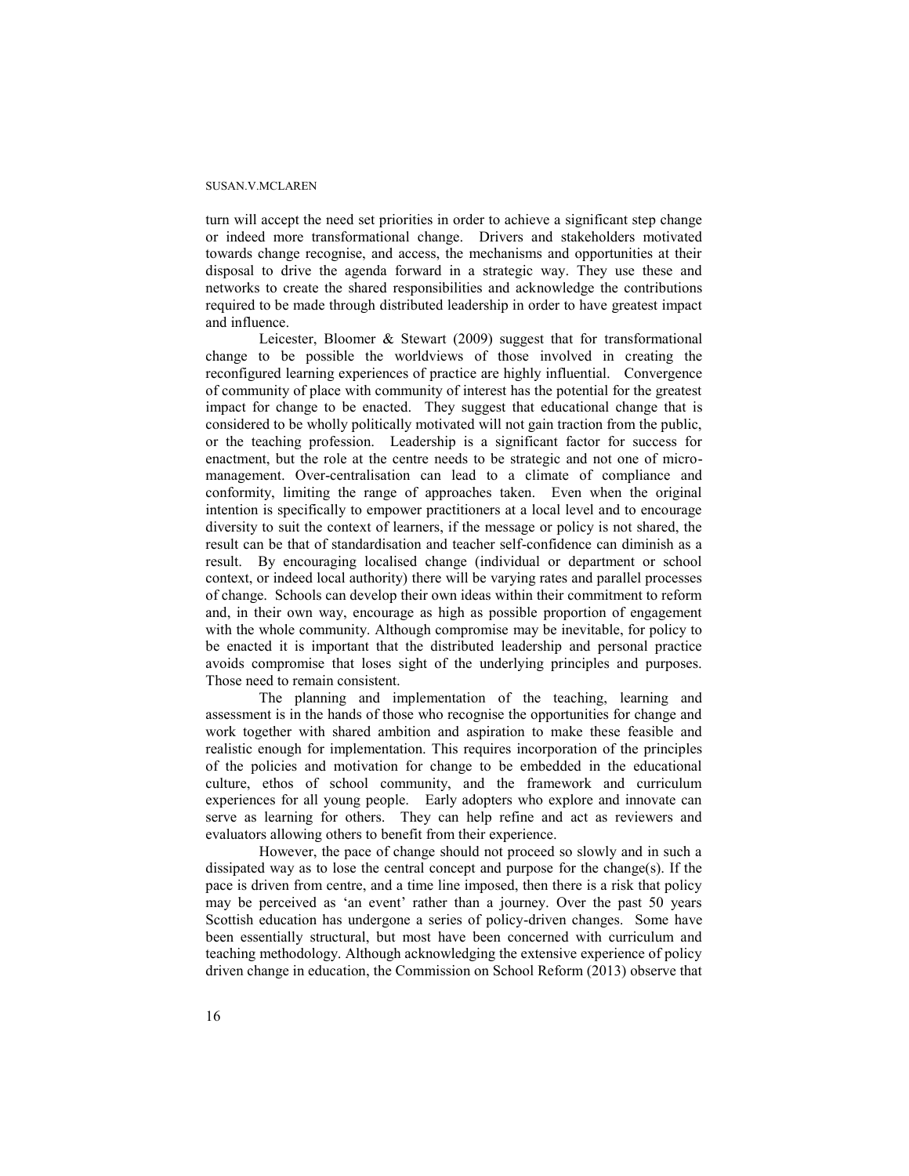turn will accept the need set priorities in order to achieve a significant step change or indeed more transformational change. Drivers and stakeholders motivated towards change recognise, and access, the mechanisms and opportunities at their disposal to drive the agenda forward in a strategic way. They use these and networks to create the shared responsibilities and acknowledge the contributions required to be made through distributed leadership in order to have greatest impact and influence.

Leicester, Bloomer & Stewart (2009) suggest that for transformational change to be possible the worldviews of those involved in creating the reconfigured learning experiences of practice are highly influential. Convergence of community of place with community of interest has the potential for the greatest impact for change to be enacted. They suggest that educational change that is considered to be wholly politically motivated will not gain traction from the public, or the teaching profession. Leadership is a significant factor for success for enactment, but the role at the centre needs to be strategic and not one of micromanagement. Over-centralisation can lead to a climate of compliance and conformity, limiting the range of approaches taken. Even when the original intention is specifically to empower practitioners at a local level and to encourage diversity to suit the context of learners, if the message or policy is not shared, the result can be that of standardisation and teacher self-confidence can diminish as a result. By encouraging localised change (individual or department or school context, or indeed local authority) there will be varying rates and parallel processes of change. Schools can develop their own ideas within their commitment to reform and, in their own way, encourage as high as possible proportion of engagement with the whole community. Although compromise may be inevitable, for policy to be enacted it is important that the distributed leadership and personal practice avoids compromise that loses sight of the underlying principles and purposes. Those need to remain consistent.

The planning and implementation of the teaching, learning and assessment is in the hands of those who recognise the opportunities for change and work together with shared ambition and aspiration to make these feasible and realistic enough for implementation. This requires incorporation of the principles of the policies and motivation for change to be embedded in the educational culture, ethos of school community, and the framework and curriculum experiences for all young people. Early adopters who explore and innovate can serve as learning for others. They can help refine and act as reviewers and evaluators allowing others to benefit from their experience.

However, the pace of change should not proceed so slowly and in such a dissipated way as to lose the central concept and purpose for the change(s). If the pace is driven from centre, and a time line imposed, then there is a risk that policy may be perceived as 'an event' rather than a journey. Over the past 50 years Scottish education has undergone a series of policy-driven changes. Some have been essentially structural, but most have been concerned with curriculum and teaching methodology. Although acknowledging the extensive experience of policy driven change in education, the Commission on School Reform (2013) observe that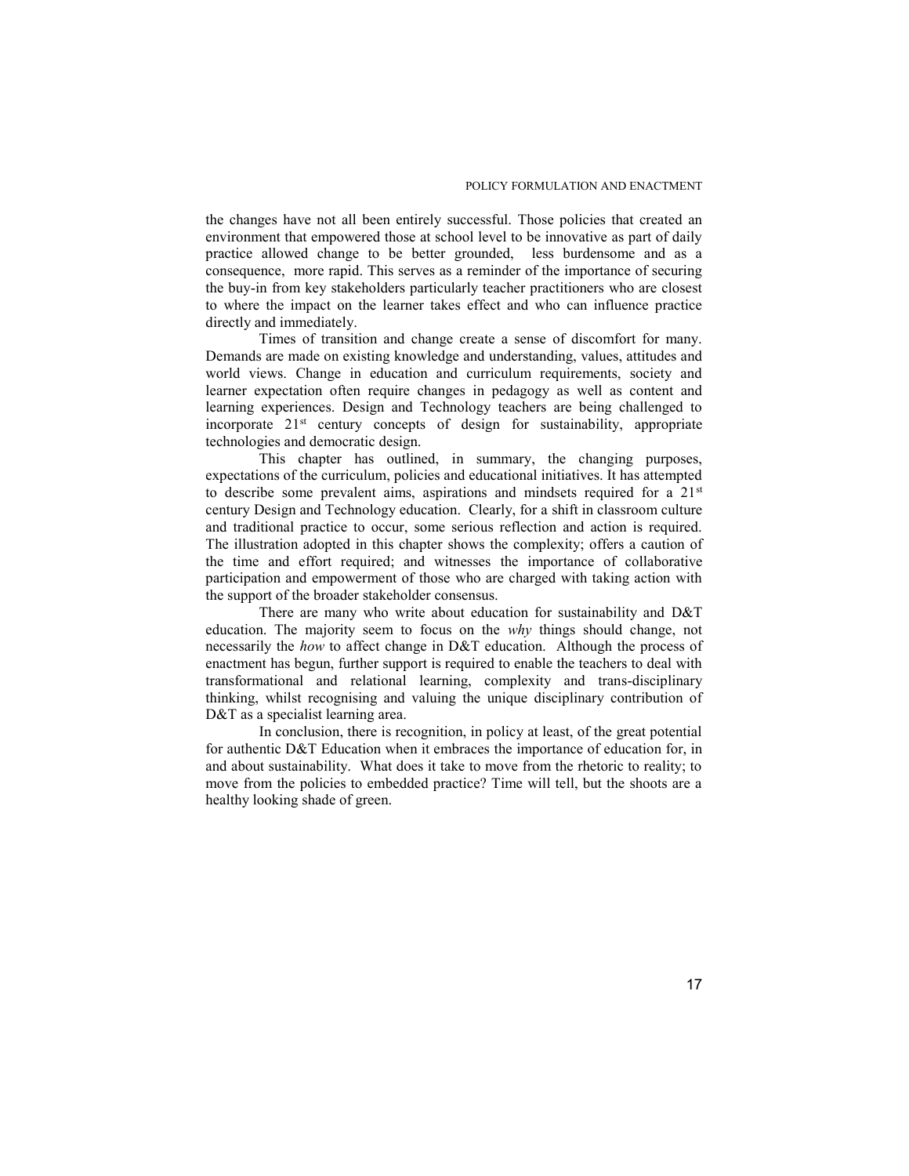the changes have not all been entirely successful. Those policies that created an environment that empowered those at school level to be innovative as part of daily practice allowed change to be better grounded, less burdensome and as a consequence, more rapid. This serves as a reminder of the importance of securing the buy-in from key stakeholders particularly teacher practitioners who are closest to where the impact on the learner takes effect and who can influence practice directly and immediately.

Times of transition and change create a sense of discomfort for many. Demands are made on existing knowledge and understanding, values, attitudes and world views. Change in education and curriculum requirements, society and learner expectation often require changes in pedagogy as well as content and learning experiences. Design and Technology teachers are being challenged to incorporate 21<sup>st</sup> century concepts of design for sustainability, appropriate technologies and democratic design.

This chapter has outlined, in summary, the changing purposes, expectations of the curriculum, policies and educational initiatives. It has attempted to describe some prevalent aims, aspirations and mindsets required for a  $21<sup>st</sup>$ century Design and Technology education. Clearly, for a shift in classroom culture and traditional practice to occur, some serious reflection and action is required. The illustration adopted in this chapter shows the complexity; offers a caution of the time and effort required; and witnesses the importance of collaborative participation and empowerment of those who are charged with taking action with the support of the broader stakeholder consensus.

There are many who write about education for sustainability and D&T education. The majority seem to focus on the *why* things should change, not necessarily the *how* to affect change in D&T education. Although the process of enactment has begun, further support is required to enable the teachers to deal with transformational and relational learning, complexity and trans-disciplinary thinking, whilst recognising and valuing the unique disciplinary contribution of D&T as a specialist learning area.

In conclusion, there is recognition, in policy at least, of the great potential for authentic D&T Education when it embraces the importance of education for, in and about sustainability. What does it take to move from the rhetoric to reality; to move from the policies to embedded practice? Time will tell, but the shoots are a healthy looking shade of green.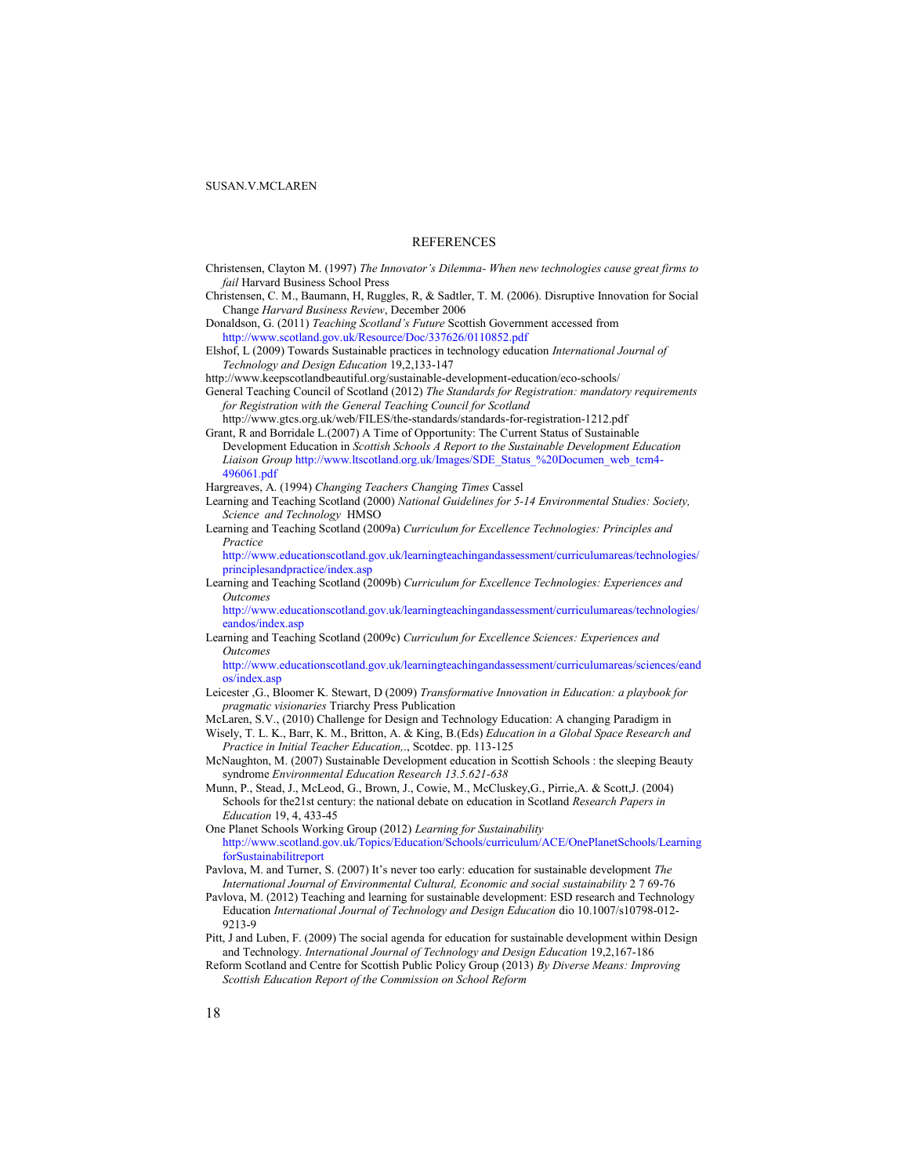#### **REFERENCES**

- Christensen, Clayton M. (1997) *The Innovator's Dilemma- When new technologies cause great firms to fail* Harvard Business School Press
- Christensen, C. M., Baumann, H, Ruggles, R, & Sadtler, T. M. (2006). Disruptive Innovation for Social Change *Harvard Business Review*, December 2006

Donaldson, G. (2011) *Teaching Scotland's Future* Scottish Government accessed from <http://www.scotland.gov.uk/Resource/Doc/337626/0110852.pdf>

Elshof, L (2009) Towards Sustainable practices in technology education *International Journal of Technology and Design Education* 19,2,133-147

http://www.keepscotlandbeautiful.org/sustainable-development-education/eco-schools/

General Teaching Council of Scotland (2012) *The Standards for Registration: mandatory requirements for Registration with the General Teaching Council for Scotland*

http://www.gtcs.org.uk/web/FILES/the-standards/standards-for-registration-1212.pdf Grant, R and Borridale L.(2007) A Time of Opportunity: The Current Status of Sustainable Development Education in *Scottish Schools A Report to the Sustainable Development Education Liaison Group* [http://www.ltscotland.org.uk/Images/SDE\\_Status\\_%20Documen\\_web\\_tcm4-](http://www.ltscotland.org.uk/Images/SDE_Status_%20Documen_web_tcm4-496061.pdf) [496061.pdf](http://www.ltscotland.org.uk/Images/SDE_Status_%20Documen_web_tcm4-496061.pdf)

- Hargreaves, A. (1994) *Changing Teachers Changing Times* Cassel
- Learning and Teaching Scotland (2000) *National Guidelines for 5-14 Environmental Studies: Society, Science and Technology* HMSO

Learning and Teaching Scotland (2009a) *Curriculum for Excellence Technologies: Principles and Practice* 

[http://www.educationscotland.gov.uk/learningteachingandassessment/curriculumareas/technologies/](http://www.educationscotland.gov.uk/learningteachingandassessment/curriculumareas/technologies/principlesandpractice/index.asp) [principlesandpractice/index.asp](http://www.educationscotland.gov.uk/learningteachingandassessment/curriculumareas/technologies/principlesandpractice/index.asp)

Learning and Teaching Scotland (2009b) *Curriculum for Excellence Technologies: Experiences and Outcomes*

[http://www.educationscotland.gov.uk/learningteachingandassessment/curriculumareas/technologies/](http://www.educationscotland.gov.uk/learningteachingandassessment/curriculumareas/technologies/eandos/index.asp) [eandos/index.asp](http://www.educationscotland.gov.uk/learningteachingandassessment/curriculumareas/technologies/eandos/index.asp)

Learning and Teaching Scotland (2009c) *Curriculum for Excellence Sciences: Experiences and Outcomes* 

[http://www.educationscotland.gov.uk/learningteachingandassessment/curriculumareas/sciences/eand](http://www.educationscotland.gov.uk/learningteachingandassessment/curriculumareas/sciences/eandos/index.asp) os/index asp

Leicester ,G., Bloomer K. Stewart, D (2009) *Transformative Innovation in Education: a playbook for pragmatic visionaries* Triarchy Press Publication

McLaren, S.V., (2010) Challenge for Design and Technology Education: A changing Paradigm in

- Wisely, T. L. K., Barr, K. M., Britton, A. & King, B.(Eds) *Education in a Global Space Research and Practice in Initial Teacher Education,*., Scotdec. pp. 113-125
- McNaughton, M. (2007) Sustainable Development education in Scottish Schools : the sleeping Beauty syndrome *Environmental Education Research 13.5.621-638*

Munn, P., Stead, J., McLeod, G., Brown, J., Cowie, M., McCluskey,G., Pirrie,A. & Scott,J. (2004) Schools for the21st century: the national debate on education in Scotland *Research Papers in Education* 19, 4, 433-45

One Planet Schools Working Group (2012) *Learning for Sustainability* [http://www.scotland.gov.uk/Topics/Education/Schools/curriculum/ACE/OnePlanetSchools/Learning](http://www.scotland.gov.uk/Topics/Education/Schools/curriculum/ACE/OnePlanetSchools/LearningforSustainabilitreport) [forSustainabilitreport](http://www.scotland.gov.uk/Topics/Education/Schools/curriculum/ACE/OnePlanetSchools/LearningforSustainabilitreport)

- Pavlova, M. and Turner, S. (2007) It's never too early: education for sustainable development *The International Journal of Environmental Cultural, Economic and social sustainability* 2 7 69-76
- Pavlova, M. (2012) Teaching and learning for sustainable development: ESD research and Technology Education *International Journal of Technology and Design Education* dio 10.1007/s10798-012- 9213-9
- Pitt, J and Luben, F. (2009) The social agenda for education for sustainable development within Design and Technology. *International Journal of Technology and Design Education* 19,2,167-186
- Reform Scotland and Centre for Scottish Public Policy Group (2013) *By Diverse Means: Improving Scottish Education Report of the Commission on School Reform*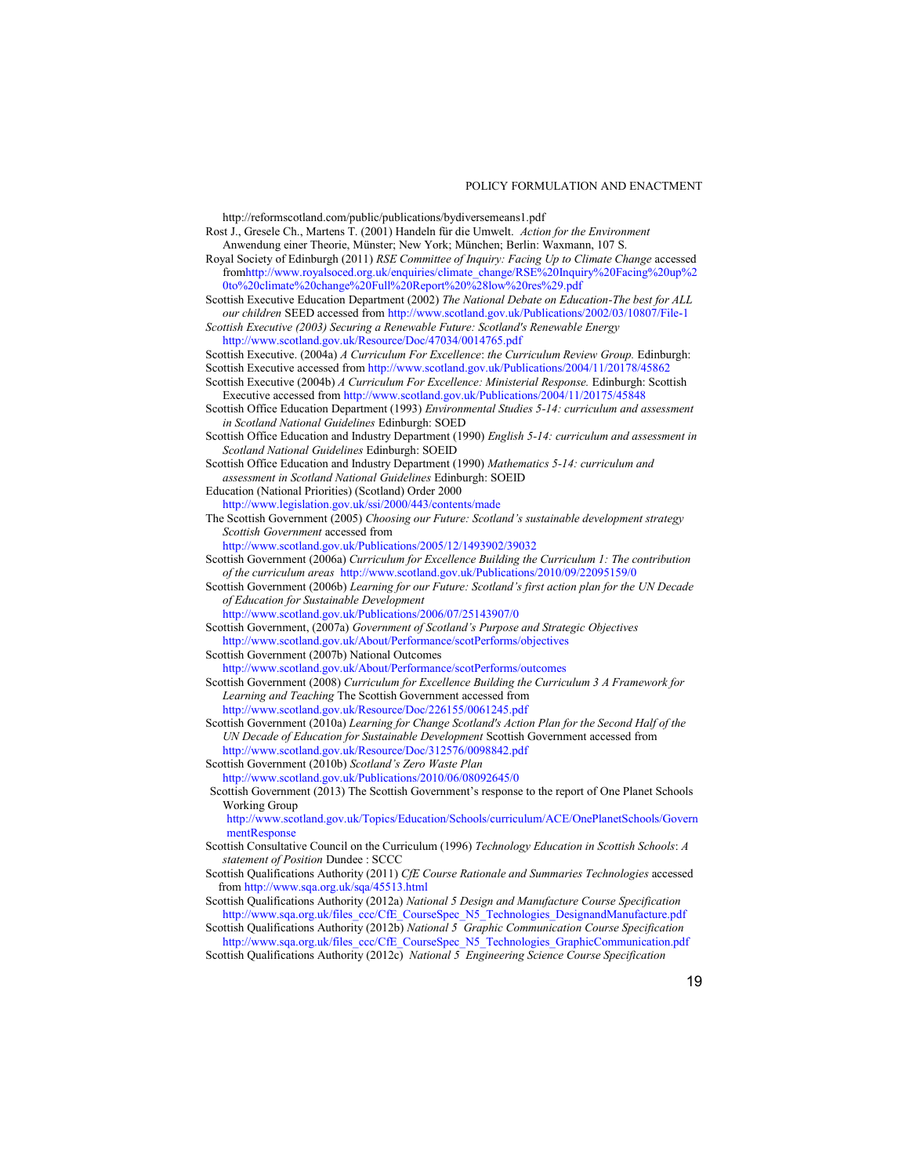http://reformscotland.com/public/publications/bydiversemeans1.pdf

Rost J., Gresele Ch., Martens T. (2001) Handeln für die Umwelt. *Action for the Environment* Anwendung einer Theorie, Münster; New York; München; Berlin: Waxmann, 107 S.

Royal Society of Edinburgh (2011) *RSE Committee of Inquiry: Facing Up to Climate Change* accessed fro[mhttp://www.royalsoced.org.uk/enquiries/climate\\_change/RSE%20Inquiry%20Facing%20up%2](http://www.royalsoced.org.uk/enquiries/climate_change/RSE%20Inquiry%20Facing%20up%20to%20climate%20change%20Full%20Report%20%28low%20res%29.pdf) [0to%20climate%20change%20Full%20Report%20%28low%20res%29.pdf](http://www.royalsoced.org.uk/enquiries/climate_change/RSE%20Inquiry%20Facing%20up%20to%20climate%20change%20Full%20Report%20%28low%20res%29.pdf)

Scottish Executive Education Department (2002) *The National Debate on Education-The best for ALL our children* SEED accessed fro[m http://www.scotland.gov.uk/Publications/2002/03/10807/File-1](http://www.scotland.gov.uk/Publications/2002/03/10807/File-1)

*Scottish Executive (2003) Securing a Renewable Future: Scotland's Renewable Energy* <http://www.scotland.gov.uk/Resource/Doc/47034/0014765.pdf>

Scottish Executive. (2004a) *A Curriculum For Excellence*: *the Curriculum Review Group.* Edinburgh: Scottish Executive accessed from http://www.scotland.gov.uk/Publications/2004/11/20178/45862

Scottish Executive (2004b) *A Curriculum For Excellence: Ministerial Response.* Edinburgh: Scottish Executive accessed fro[m http://www.scotland.gov.uk/Publications/2004/11/20175/45848](http://www.scotland.gov.uk/Publications/2004/11/20175/45848)

Scottish Office Education Department (1993) *Environmental Studies 5-14: curriculum and assessment in Scotland National Guidelines* Edinburgh: SOED

Scottish Office Education and Industry Department (1990) *English 5-14: curriculum and assessment in Scotland National Guidelines* Edinburgh: SOEID

Scottish Office Education and Industry Department (1990) *Mathematics 5-14: curriculum and assessment in Scotland National Guidelines* Edinburgh: SOEID

Education (National Priorities) (Scotland) Order 2000

<http://www.legislation.gov.uk/ssi/2000/443/contents/made>

The Scottish Government (2005) *Choosing our Future: Scotland's sustainable development strategy Scottish Government* accessed from

<http://www.scotland.gov.uk/Publications/2005/12/1493902/39032>

Scottish Government (2006a) *Curriculum for Excellence Building the Curriculum 1: The contribution of the curriculum areas* <http://www.scotland.gov.uk/Publications/2010/09/22095159/0>

Scottish Government (2006b) *Learning for our Future: Scotland's first action plan for the UN Decade of Education for Sustainable Development*

<http://www.scotland.gov.uk/Publications/2006/07/25143907/0>

Scottish Government, (2007a) *Government of Scotland's Purpose and Strategic Objectives* <http://www.scotland.gov.uk/About/Performance/scotPerforms/objectives>

Scottish Government (2007b) National Outcomes

<http://www.scotland.gov.uk/About/Performance/scotPerforms/outcomes>

Scottish Government (2008) *Curriculum for Excellence Building the Curriculum 3 A Framework for Learning and Teaching* The Scottish Government accessed from

http://www.scotland.gov.uk/Resource/Doc/226155/0061245.pdf

Scottish Government (2010a) *Learning for Change Scotland's Action Plan for the Second Half of the UN Decade of Education for Sustainable Development* Scottish Government accessed from http://www.scotland.gov.uk/Resource/Doc/312576/0098842.pdf

Scottish Government (2010b) *Scotland's Zero Waste Plan*

<http://www.scotland.gov.uk/Publications/2010/06/08092645/0>

Scottish Government (2013) The Scottish Government's response to the report of One Planet Schools Working Group

[http://www.scotland.gov.uk/Topics/Education/Schools/curriculum/ACE/OnePlanetSchools/Govern](http://www.scotland.gov.uk/Topics/Education/Schools/curriculum/ACE/OnePlanetSchools/GovernmentResponse) [mentResponse](http://www.scotland.gov.uk/Topics/Education/Schools/curriculum/ACE/OnePlanetSchools/GovernmentResponse)

Scottish Consultative Council on the Curriculum (1996) *Technology Education in Scottish Schools*: *A statement of Position* Dundee : SCCC

Scottish Qualifications Authority (2011) *CfE Course Rationale and Summaries Technologies* accessed fro[m http://www.sqa.org.uk/sqa/45513.html](http://www.sqa.org.uk/sqa/45513.html)

Scottish Qualifications Authority (2012a) *National 5 Design and Manufacture Course Specification* [http://www.sqa.org.uk/files\\_ccc/CfE\\_CourseSpec\\_N5\\_Technologies\\_DesignandManufacture.pdf](http://www.sqa.org.uk/files_ccc/CfE_CourseSpec_N5_Technologies_DesignandManufacture.pdf)

Scottish Qualifications Authority (2012b) *National 5 Graphic Communication Course Specification*  [http://www.sqa.org.uk/files\\_ccc/CfE\\_CourseSpec\\_N5\\_Technologies\\_GraphicCommunication.pdf](http://www.sqa.org.uk/files_ccc/CfE_CourseSpec_N5_Technologies_GraphicCommunication.pdf)

Scottish Qualifications Authority (2012c) *National 5 Engineering Science Course Specification*